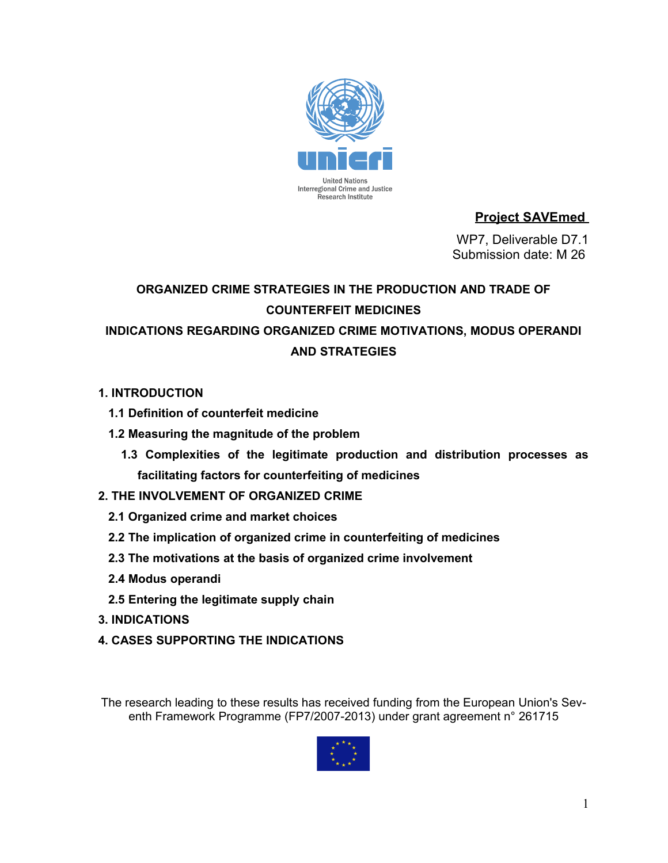

# **Project SAVEmed**

 WP7, Deliverable D7.1 Submission date: M 26

# **ORGANIZED CRIME STRATEGIES IN THE PRODUCTION AND TRADE OF COUNTERFEIT MEDICINES INDICATIONS REGARDING ORGANIZED CRIME MOTIVATIONS, MODUS OPERANDI AND STRATEGIES**

## **1. INTRODUCTION**

- **1.1 Definition of counterfeit medicine**
- **1.2 Measuring the magnitude of the problem**
	- **1.3 Complexities of the legitimate production and distribution processes as facilitating factors for counterfeiting of medicines**

# **2. THE INVOLVEMENT OF ORGANIZED CRIME**

- **2.1 Organized crime and market choices**
- **2.2 The implication of organized crime in counterfeiting of medicines**
- **2.3 The motivations at the basis of organized crime involvement**
- **2.4 Modus operandi**
- **2.5 Entering the legitimate supply chain**
- **3. INDICATIONS**
- **4. CASES SUPPORTING THE INDICATIONS**

The research leading to these results has received funding from the European Union's Seventh Framework Programme (FP7/2007-2013) under grant agreement n° 261715

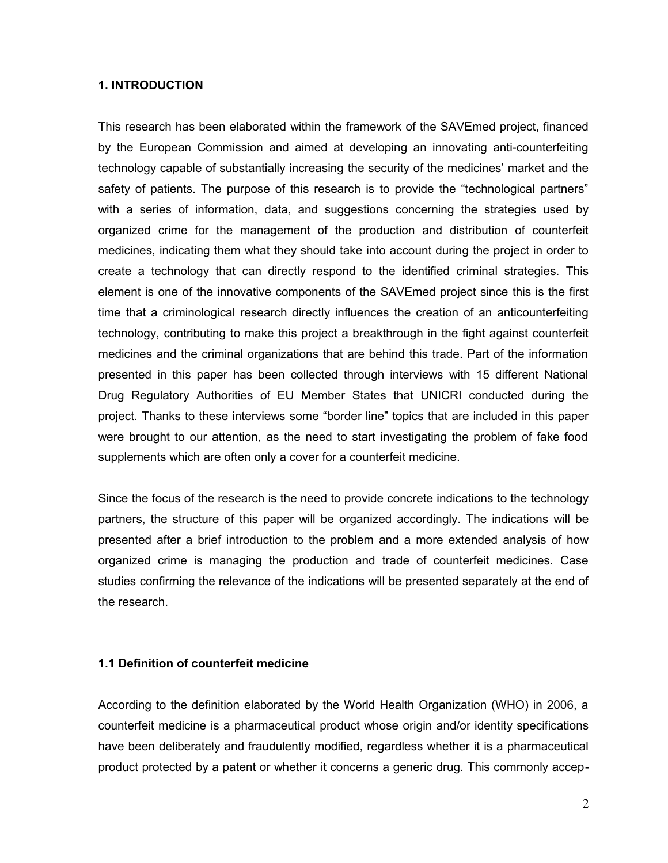#### **1. INTRODUCTION**

This research has been elaborated within the framework of the SAVEmed project, financed by the European Commission and aimed at developing an innovating anti-counterfeiting technology capable of substantially increasing the security of the medicines' market and the safety of patients. The purpose of this research is to provide the "technological partners" with a series of information, data, and suggestions concerning the strategies used by organized crime for the management of the production and distribution of counterfeit medicines, indicating them what they should take into account during the project in order to create a technology that can directly respond to the identified criminal strategies. This element is one of the innovative components of the SAVEmed project since this is the first time that a criminological research directly influences the creation of an anticounterfeiting technology, contributing to make this project a breakthrough in the fight against counterfeit medicines and the criminal organizations that are behind this trade. Part of the information presented in this paper has been collected through interviews with 15 different National Drug Regulatory Authorities of EU Member States that UNICRI conducted during the project. Thanks to these interviews some "border line" topics that are included in this paper were brought to our attention, as the need to start investigating the problem of fake food supplements which are often only a cover for a counterfeit medicine.

Since the focus of the research is the need to provide concrete indications to the technology partners, the structure of this paper will be organized accordingly. The indications will be presented after a brief introduction to the problem and a more extended analysis of how organized crime is managing the production and trade of counterfeit medicines. Case studies confirming the relevance of the indications will be presented separately at the end of the research.

#### **1.1 Definition of counterfeit medicine**

According to the definition elaborated by the World Health Organization (WHO) in 2006, a counterfeit medicine is a pharmaceutical product whose origin and/or identity specifications have been deliberately and fraudulently modified, regardless whether it is a pharmaceutical product protected by a patent or whether it concerns a generic drug. This commonly accep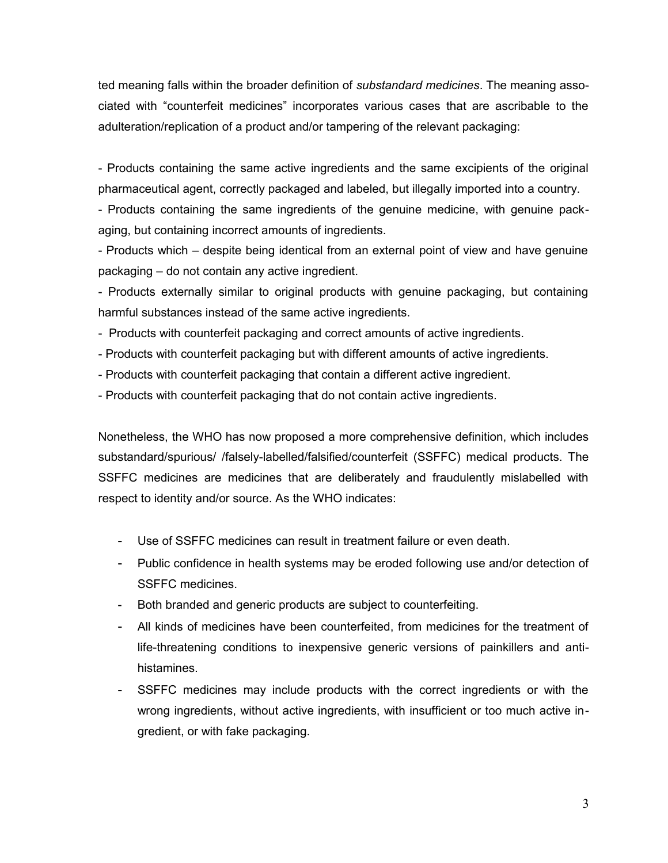ted meaning falls within the broader definition of *substandard medicines*. The meaning associated with "counterfeit medicines" incorporates various cases that are ascribable to the adulteration/replication of a product and/or tampering of the relevant packaging:

- Products containing the same active ingredients and the same excipients of the original pharmaceutical agent, correctly packaged and labeled, but illegally imported into a country.

- Products containing the same ingredients of the genuine medicine, with genuine packaging, but containing incorrect amounts of ingredients.

- Products which – despite being identical from an external point of view and have genuine packaging – do not contain any active ingredient.

- Products externally similar to original products with genuine packaging, but containing harmful substances instead of the same active ingredients.

- Products with counterfeit packaging and correct amounts of active ingredients.

- Products with counterfeit packaging but with different amounts of active ingredients.

- Products with counterfeit packaging that contain a different active ingredient.
- Products with counterfeit packaging that do not contain active ingredients.

Nonetheless, the WHO has now proposed a more comprehensive definition, which includes substandard/spurious/ /falsely-labelled/falsified/counterfeit (SSFFC) medical products. The SSFFC medicines are medicines that are deliberately and fraudulently mislabelled with respect to identity and/or source. As the WHO indicates:

- Use of SSFFC medicines can result in treatment failure or even death.
- Public confidence in health systems may be eroded following use and/or detection of SSFFC medicines.
- Both branded and generic products are subject to counterfeiting.
- All kinds of medicines have been counterfeited, from medicines for the treatment of life-threatening conditions to inexpensive generic versions of painkillers and antihistamines.
- SSFFC medicines may include products with the correct ingredients or with the wrong ingredients, without active ingredients, with insufficient or too much active ingredient, or with fake packaging.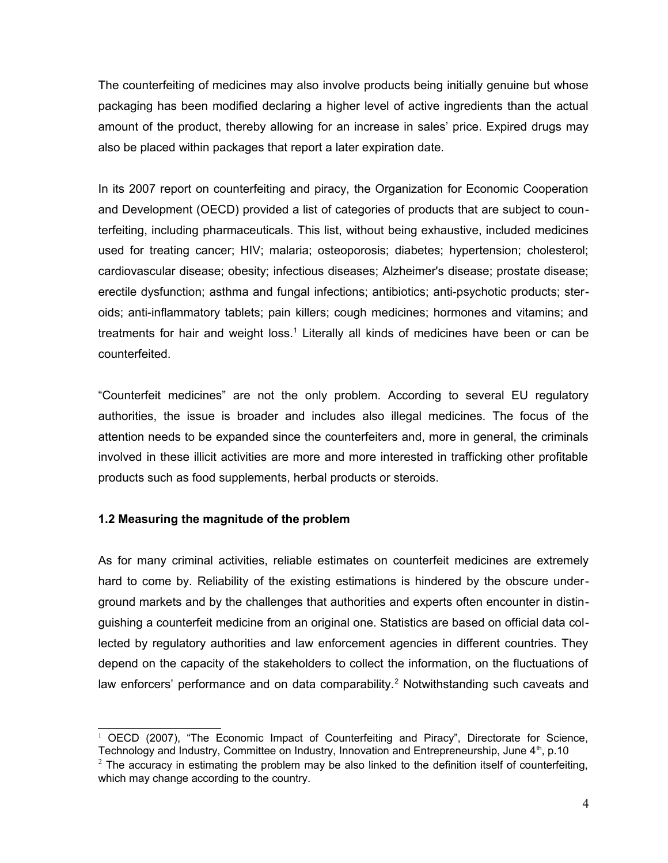The counterfeiting of medicines may also involve products being initially genuine but whose packaging has been modified declaring a higher level of active ingredients than the actual amount of the product, thereby allowing for an increase in sales' price. Expired drugs may also be placed within packages that report a later expiration date.

In its 2007 report on counterfeiting and piracy, the Organization for Economic Cooperation and Development (OECD) provided a list of categories of products that are subject to counterfeiting, including pharmaceuticals. This list, without being exhaustive, included medicines used for treating cancer; HIV; malaria; osteoporosis; diabetes; hypertension; cholesterol; cardiovascular disease; obesity; infectious diseases; Alzheimer's disease; prostate disease; erectile dysfunction; asthma and fungal infections; antibiotics; anti-psychotic products; steroids; anti-inflammatory tablets; pain killers; cough medicines; hormones and vitamins; and treatments for hair and weight loss.<sup>[1](#page-3-0)</sup> Literally all kinds of medicines have been or can be counterfeited.

"Counterfeit medicines" are not the only problem. According to several EU regulatory authorities, the issue is broader and includes also illegal medicines. The focus of the attention needs to be expanded since the counterfeiters and, more in general, the criminals involved in these illicit activities are more and more interested in trafficking other profitable products such as food supplements, herbal products or steroids.

## **1.2 Measuring the magnitude of the problem**

As for many criminal activities, reliable estimates on counterfeit medicines are extremely hard to come by. Reliability of the existing estimations is hindered by the obscure underground markets and by the challenges that authorities and experts often encounter in distinguishing a counterfeit medicine from an original one. Statistics are based on official data collected by regulatory authorities and law enforcement agencies in different countries. They depend on the capacity of the stakeholders to collect the information, on the fluctuations of law enforcers' performance and on data comparability.<sup>[2](#page-3-1)</sup> Notwithstanding such caveats and

<span id="page-3-0"></span><sup>&</sup>lt;sup>1</sup> OECD (2007), "The Economic Impact of Counterfeiting and Piracy", Directorate for Science, Technology and Industry, Committee on Industry, Innovation and Entrepreneurship, June 4<sup>th</sup>, p.10

<span id="page-3-1"></span> $2$  The accuracy in estimating the problem may be also linked to the definition itself of counterfeiting, which may change according to the country.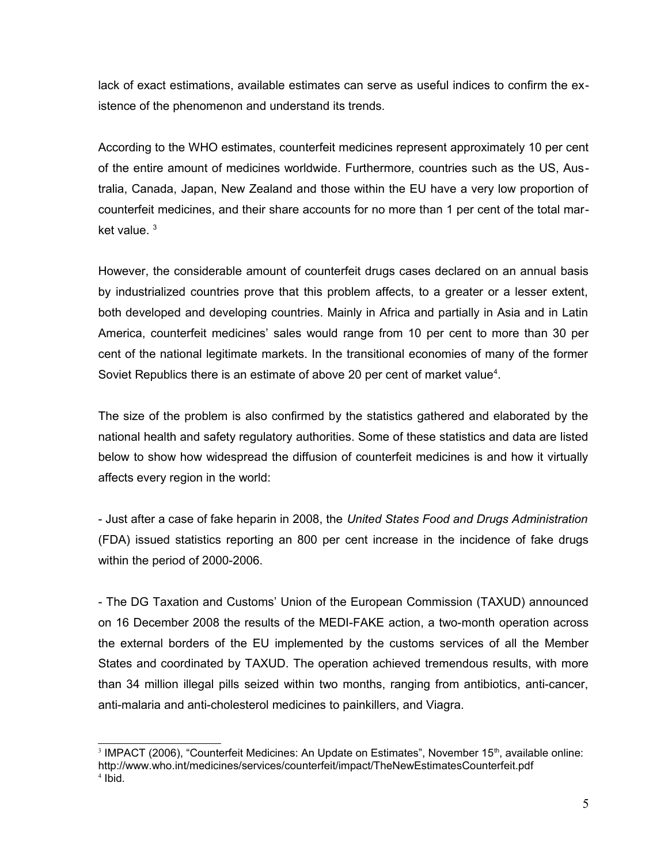lack of exact estimations, available estimates can serve as useful indices to confirm the existence of the phenomenon and understand its trends.

According to the WHO estimates, counterfeit medicines represent approximately 10 per cent of the entire amount of medicines worldwide. Furthermore, countries such as the US, Australia, Canada, Japan, New Zealand and those within the EU have a very low proportion of counterfeit medicines, and their share accounts for no more than 1 per cent of the total market value.  $3$ 

However, the considerable amount of counterfeit drugs cases declared on an annual basis by industrialized countries prove that this problem affects, to a greater or a lesser extent, both developed and developing countries. Mainly in Africa and partially in Asia and in Latin America, counterfeit medicines' sales would range from 10 per cent to more than 30 per cent of the national legitimate markets. In the transitional economies of many of the former Soviet Republics there is an estimate of above 20 per cent of market value<sup>[4](#page-4-1)</sup>.

The size of the problem is also confirmed by the statistics gathered and elaborated by the national health and safety regulatory authorities. Some of these statistics and data are listed below to show how widespread the diffusion of counterfeit medicines is and how it virtually affects every region in the world:

- Just after a case of fake heparin in 2008, the *United States Food and Drugs Administration* (FDA) issued statistics reporting an 800 per cent increase in the incidence of fake drugs within the period of 2000-2006.

- The DG Taxation and Customs' Union of the European Commission (TAXUD) announced on 16 December 2008 the results of the MEDI-FAKE action, a two-month operation across the external borders of the EU implemented by the customs services of all the Member States and coordinated by TAXUD. The operation achieved tremendous results, with more than 34 million illegal pills seized within two months, ranging from antibiotics, anti-cancer, anti-malaria and anti-cholesterol medicines to painkillers, and Viagra.

<span id="page-4-1"></span><span id="page-4-0"></span><sup>&</sup>lt;sup>3</sup> IMPACT (2006), "Counterfeit Medicines: An Update on Estimates", November 15<sup>th</sup>, available online: http://www.who.int/medicines/services/counterfeit/impact/TheNewEstimatesCounterfeit.pdf 4 Ibid.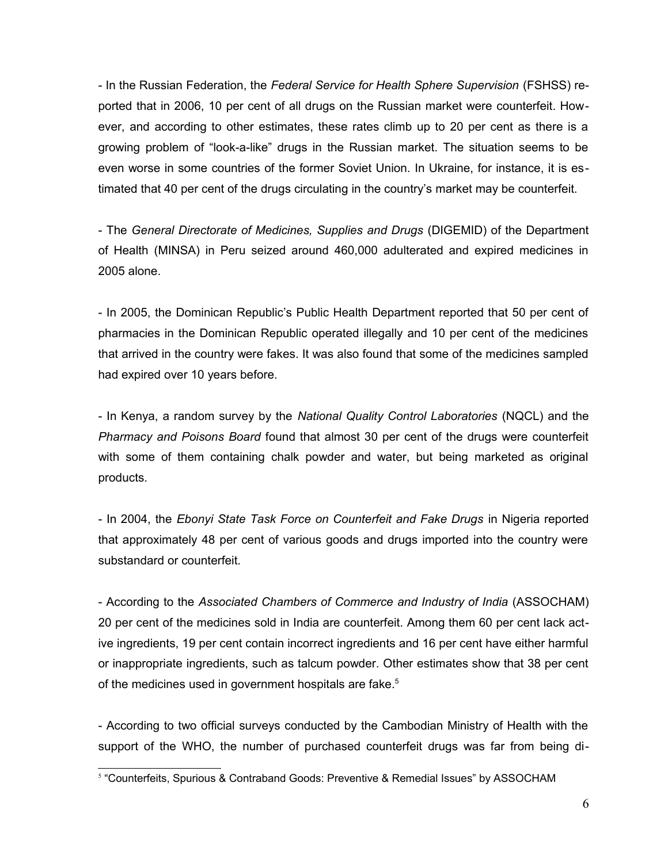- In the Russian Federation, the *Federal Service for Health Sphere Supervision* (FSHSS) reported that in 2006, 10 per cent of all drugs on the Russian market were counterfeit. However, and according to other estimates, these rates climb up to 20 per cent as there is a growing problem of "look-a-like" drugs in the Russian market. The situation seems to be even worse in some countries of the former Soviet Union. In Ukraine, for instance, it is estimated that 40 per cent of the drugs circulating in the country's market may be counterfeit.

- The *General Directorate of Medicines, Supplies and Drugs* (DIGEMID) of the Department of Health (MINSA) in Peru seized around 460,000 adulterated and expired medicines in 2005 alone.

- In 2005, the Dominican Republic's Public Health Department reported that 50 per cent of pharmacies in the Dominican Republic operated illegally and 10 per cent of the medicines that arrived in the country were fakes. It was also found that some of the medicines sampled had expired over 10 years before.

- In Kenya, a random survey by the *National Quality Control Laboratories* (NQCL) and the *Pharmacy and Poisons Board* found that almost 30 per cent of the drugs were counterfeit with some of them containing chalk powder and water, but being marketed as original products.

- In 2004, the *Ebonyi State Task Force on Counterfeit and Fake Drugs* in Nigeria reported that approximately 48 per cent of various goods and drugs imported into the country were substandard or counterfeit.

- According to the *Associated Chambers of Commerce and Industry of India* (ASSOCHAM) 20 per cent of the medicines sold in India are counterfeit. Among them 60 per cent lack active ingredients, 19 per cent contain incorrect ingredients and 16 per cent have either harmful or inappropriate ingredients, such as talcum powder. Other estimates show that 38 per cent of the medicines used in government hospitals are fake.<sup>[5](#page-5-0)</sup>

- According to two official surveys conducted by the Cambodian Ministry of Health with the support of the WHO, the number of purchased counterfeit drugs was far from being di-

<span id="page-5-0"></span><sup>5</sup> "Counterfeits, Spurious & Contraband Goods: Preventive & Remedial Issues" by ASSOCHAM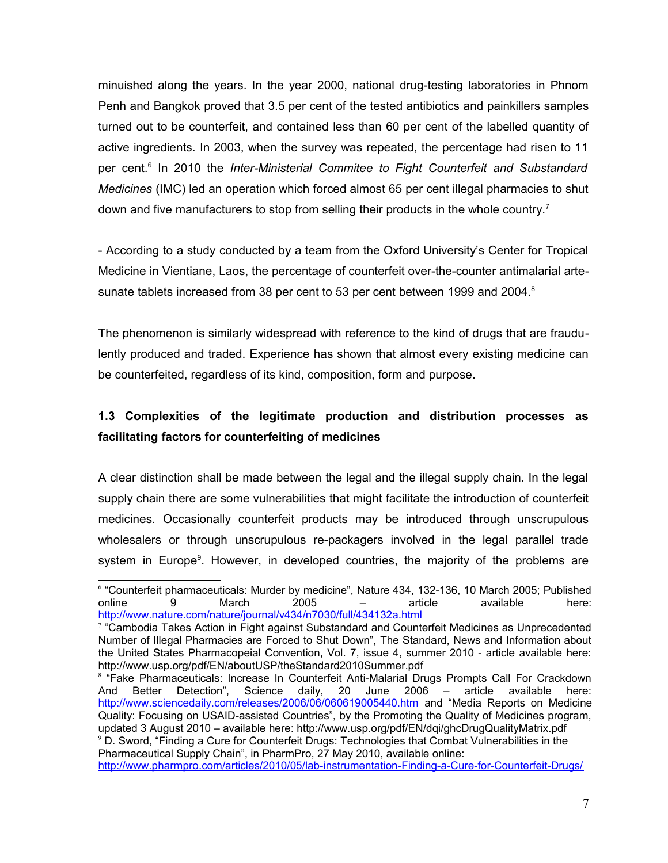minuished along the years. In the year 2000, national drug-testing laboratories in Phnom Penh and Bangkok proved that 3.5 per cent of the tested antibiotics and painkillers samples turned out to be counterfeit, and contained less than 60 per cent of the labelled quantity of active ingredients. In 2003, when the survey was repeated, the percentage had risen to 11 per cent.<sup>[6](#page-6-0)</sup> In 2010 the *Inter-Ministerial Commitee to Fight Counterfeit and Substandard Medicines* (IMC) led an operation which forced almost 65 per cent illegal pharmacies to shut down and five manufacturers to stop from selling their products in the whole country.<sup>[7](#page-6-1)</sup>

- According to a study conducted by a team from the Oxford University's Center for Tropical Medicine in Vientiane, Laos, the percentage of counterfeit over-the-counter antimalarial arte-sunate tablets increased from 3[8](#page-6-2) per cent to 53 per cent between 1999 and 2004. $8$ 

The phenomenon is similarly widespread with reference to the kind of drugs that are fraudulently produced and traded. Experience has shown that almost every existing medicine can be counterfeited, regardless of its kind, composition, form and purpose.

# **1.3 Complexities of the legitimate production and distribution processes as facilitating factors for counterfeiting of medicines**

A clear distinction shall be made between the legal and the illegal supply chain. In the legal supply chain there are some vulnerabilities that might facilitate the introduction of counterfeit medicines. Occasionally counterfeit products may be introduced through unscrupulous wholesalers or through unscrupulous re-packagers involved in the legal parallel trade system in Europe<sup>[9](#page-6-3)</sup>. However, in developed countries, the majority of the problems are

<span id="page-6-0"></span><sup>6</sup> "Counterfeit pharmaceuticals: Murder by medicine", Nature 434, 132-136, 10 March 2005; Published online 9 March 2005 – article available here: <http://www.nature.com/nature/journal/v434/n7030/full/434132a.html>

<span id="page-6-1"></span><sup>7</sup> "Cambodia Takes Action in Fight against Substandard and Counterfeit Medicines as Unprecedented Number of Illegal Pharmacies are Forced to Shut Down", The Standard, News and Information about the United States Pharmacopeial Convention, Vol. 7, issue 4, summer 2010 - article available here: http://www.usp.org/pdf/EN/aboutUSP/theStandard2010Summer.pdf

<span id="page-6-2"></span><sup>&</sup>lt;sup>8</sup> "Fake Pharmaceuticals: Increase In Counterfeit Anti-Malarial Drugs Prompts Call For Crackdown And Better Detection", Science daily, 20 June 2006 – article available here: <http://www.sciencedaily.com/releases/2006/06/060619005440.htm>and "Media Reports on Medicine Quality: Focusing on USAID-assisted Countries", by the Promoting the Quality of Medicines program, updated 3 August 2010 – available here: http://www.usp.org/pdf/EN/dqi/ghcDrugQualityMatrix.pdf <sup>9</sup> D. Sword, "Finding a Cure for Counterfeit Drugs: Technologies that Combat Vulnerabilities in the Pharmaceutical Supply Chain", in PharmPro, 27 May 2010, available online:

<span id="page-6-3"></span><http://www.pharmpro.com/articles/2010/05/lab-instrumentation-Finding-a-Cure-for-Counterfeit-Drugs/>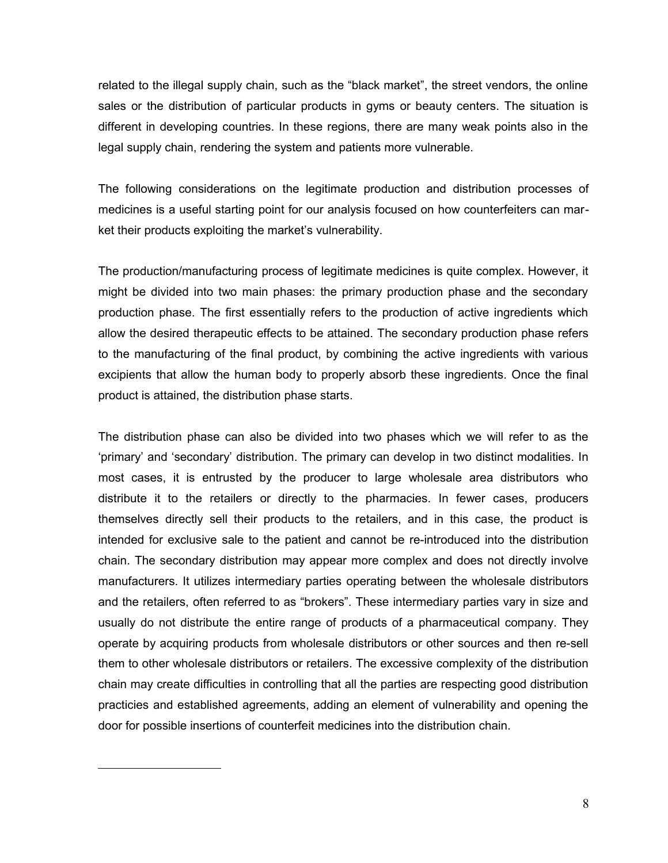related to the illegal supply chain, such as the "black market", the street vendors, the online sales or the distribution of particular products in gyms or beauty centers. The situation is different in developing countries. In these regions, there are many weak points also in the legal supply chain, rendering the system and patients more vulnerable.

The following considerations on the legitimate production and distribution processes of medicines is a useful starting point for our analysis focused on how counterfeiters can market their products exploiting the market's vulnerability.

The production/manufacturing process of legitimate medicines is quite complex. However, it might be divided into two main phases: the primary production phase and the secondary production phase. The first essentially refers to the production of active ingredients which allow the desired therapeutic effects to be attained. The secondary production phase refers to the manufacturing of the final product, by combining the active ingredients with various excipients that allow the human body to properly absorb these ingredients. Once the final product is attained, the distribution phase starts.

The distribution phase can also be divided into two phases which we will refer to as the 'primary' and 'secondary' distribution. The primary can develop in two distinct modalities. In most cases, it is entrusted by the producer to large wholesale area distributors who distribute it to the retailers or directly to the pharmacies. In fewer cases, producers themselves directly sell their products to the retailers, and in this case, the product is intended for exclusive sale to the patient and cannot be re-introduced into the distribution chain. The secondary distribution may appear more complex and does not directly involve manufacturers. It utilizes intermediary parties operating between the wholesale distributors and the retailers, often referred to as "brokers". These intermediary parties vary in size and usually do not distribute the entire range of products of a pharmaceutical company. They operate by acquiring products from wholesale distributors or other sources and then re-sell them to other wholesale distributors or retailers. The excessive complexity of the distribution chain may create difficulties in controlling that all the parties are respecting good distribution practicies and established agreements, adding an element of vulnerability and opening the door for possible insertions of counterfeit medicines into the distribution chain.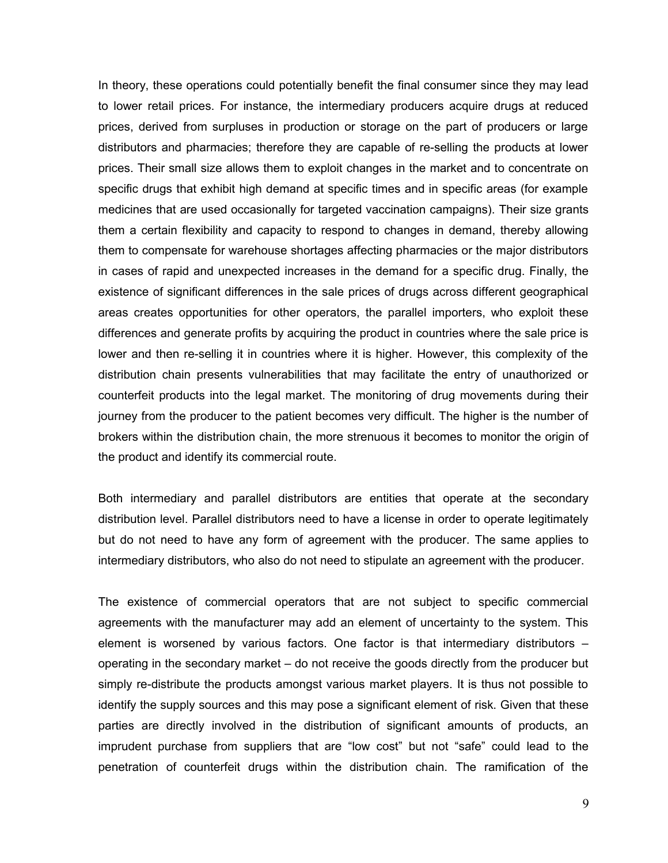In theory, these operations could potentially benefit the final consumer since they may lead to lower retail prices. For instance, the intermediary producers acquire drugs at reduced prices, derived from surpluses in production or storage on the part of producers or large distributors and pharmacies; therefore they are capable of re-selling the products at lower prices. Their small size allows them to exploit changes in the market and to concentrate on specific drugs that exhibit high demand at specific times and in specific areas (for example medicines that are used occasionally for targeted vaccination campaigns). Their size grants them a certain flexibility and capacity to respond to changes in demand, thereby allowing them to compensate for warehouse shortages affecting pharmacies or the major distributors in cases of rapid and unexpected increases in the demand for a specific drug. Finally, the existence of significant differences in the sale prices of drugs across different geographical areas creates opportunities for other operators, the parallel importers, who exploit these differences and generate profits by acquiring the product in countries where the sale price is lower and then re-selling it in countries where it is higher. However, this complexity of the distribution chain presents vulnerabilities that may facilitate the entry of unauthorized or counterfeit products into the legal market. The monitoring of drug movements during their journey from the producer to the patient becomes very difficult. The higher is the number of brokers within the distribution chain, the more strenuous it becomes to monitor the origin of the product and identify its commercial route.

Both intermediary and parallel distributors are entities that operate at the secondary distribution level. Parallel distributors need to have a license in order to operate legitimately but do not need to have any form of agreement with the producer. The same applies to intermediary distributors, who also do not need to stipulate an agreement with the producer.

The existence of commercial operators that are not subject to specific commercial agreements with the manufacturer may add an element of uncertainty to the system. This element is worsened by various factors. One factor is that intermediary distributors – operating in the secondary market – do not receive the goods directly from the producer but simply re-distribute the products amongst various market players. It is thus not possible to identify the supply sources and this may pose a significant element of risk. Given that these parties are directly involved in the distribution of significant amounts of products, an imprudent purchase from suppliers that are "low cost" but not "safe" could lead to the penetration of counterfeit drugs within the distribution chain. The ramification of the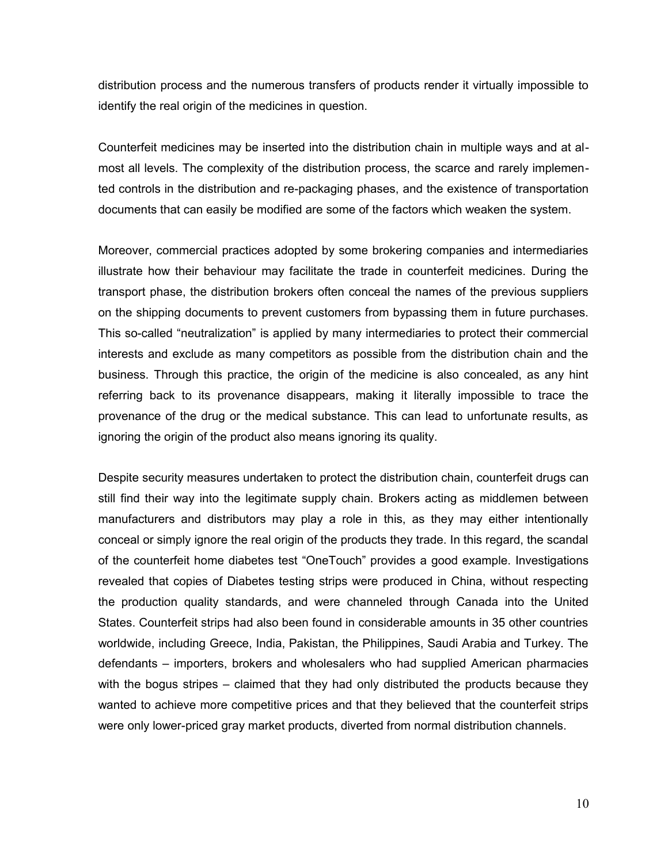distribution process and the numerous transfers of products render it virtually impossible to identify the real origin of the medicines in question.

Counterfeit medicines may be inserted into the distribution chain in multiple ways and at almost all levels. The complexity of the distribution process, the scarce and rarely implemented controls in the distribution and re-packaging phases, and the existence of transportation documents that can easily be modified are some of the factors which weaken the system.

Moreover, commercial practices adopted by some brokering companies and intermediaries illustrate how their behaviour may facilitate the trade in counterfeit medicines. During the transport phase, the distribution brokers often conceal the names of the previous suppliers on the shipping documents to prevent customers from bypassing them in future purchases. This so-called "neutralization" is applied by many intermediaries to protect their commercial interests and exclude as many competitors as possible from the distribution chain and the business. Through this practice, the origin of the medicine is also concealed, as any hint referring back to its provenance disappears, making it literally impossible to trace the provenance of the drug or the medical substance. This can lead to unfortunate results, as ignoring the origin of the product also means ignoring its quality.

Despite security measures undertaken to protect the distribution chain, counterfeit drugs can still find their way into the legitimate supply chain. Brokers acting as middlemen between manufacturers and distributors may play a role in this, as they may either intentionally conceal or simply ignore the real origin of the products they trade. In this regard, the scandal of the counterfeit home diabetes test "OneTouch" provides a good example. Investigations revealed that copies of Diabetes testing strips were produced in China, without respecting the production quality standards, and were channeled through Canada into the United States. Counterfeit strips had also been found in considerable amounts in 35 other countries worldwide, including Greece, India, Pakistan, the Philippines, Saudi Arabia and Turkey. The defendants – importers, brokers and wholesalers who had supplied American pharmacies with the bogus stripes – claimed that they had only distributed the products because they wanted to achieve more competitive prices and that they believed that the counterfeit strips were only lower-priced gray market products, diverted from normal distribution channels.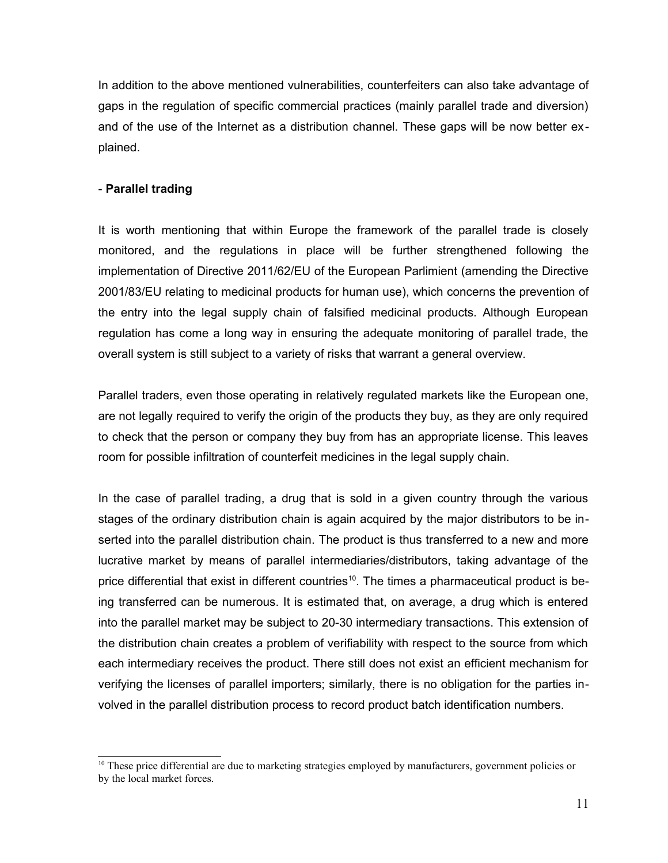In addition to the above mentioned vulnerabilities, counterfeiters can also take advantage of gaps in the regulation of specific commercial practices (mainly parallel trade and diversion) and of the use of the Internet as a distribution channel. These gaps will be now better explained.

## - **Parallel trading**

It is worth mentioning that within Europe the framework of the parallel trade is closely monitored, and the regulations in place will be further strengthened following the implementation of Directive 2011/62/EU of the European Parlimient (amending the Directive 2001/83/EU relating to medicinal products for human use), which concerns the prevention of the entry into the legal supply chain of falsified medicinal products. Although European regulation has come a long way in ensuring the adequate monitoring of parallel trade, the overall system is still subject to a variety of risks that warrant a general overview.

Parallel traders, even those operating in relatively regulated markets like the European one, are not legally required to verify the origin of the products they buy, as they are only required to check that the person or company they buy from has an appropriate license. This leaves room for possible infiltration of counterfeit medicines in the legal supply chain.

In the case of parallel trading, a drug that is sold in a given country through the various stages of the ordinary distribution chain is again acquired by the major distributors to be inserted into the parallel distribution chain. The product is thus transferred to a new and more lucrative market by means of parallel intermediaries/distributors, taking advantage of the price differential that exist in different countries<sup>[10](#page-10-0)</sup>. The times a pharmaceutical product is being transferred can be numerous. It is estimated that, on average, a drug which is entered into the parallel market may be subject to 20-30 intermediary transactions. This extension of the distribution chain creates a problem of verifiability with respect to the source from which each intermediary receives the product. There still does not exist an efficient mechanism for verifying the licenses of parallel importers; similarly, there is no obligation for the parties involved in the parallel distribution process to record product batch identification numbers.

<span id="page-10-0"></span><sup>&</sup>lt;sup>10</sup> These price differential are due to marketing strategies employed by manufacturers, government policies or by the local market forces.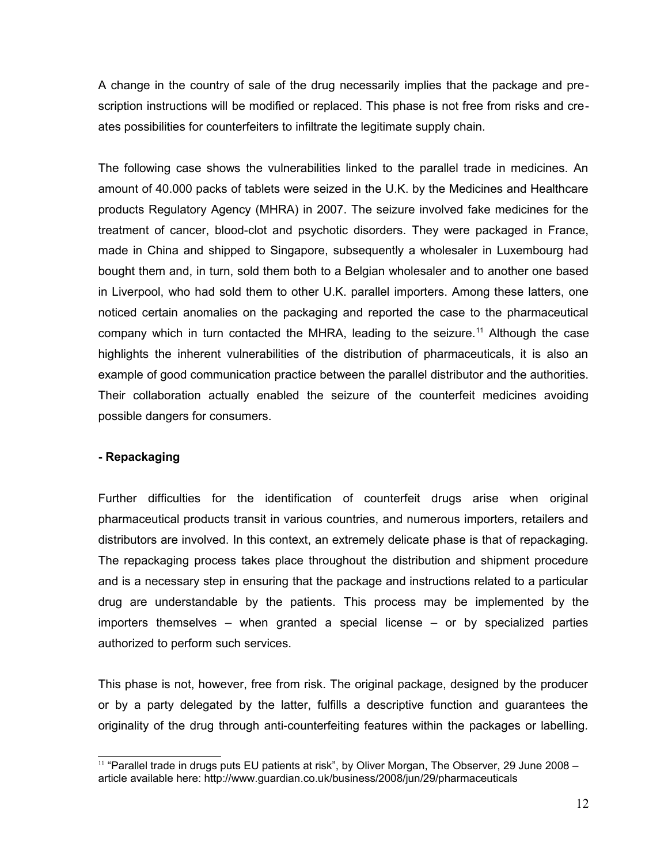A change in the country of sale of the drug necessarily implies that the package and prescription instructions will be modified or replaced. This phase is not free from risks and creates possibilities for counterfeiters to infiltrate the legitimate supply chain.

The following case shows the vulnerabilities linked to the parallel trade in medicines. An amount of 40.000 packs of tablets were seized in the U.K. by the Medicines and Healthcare products Regulatory Agency (MHRA) in 2007. The seizure involved fake medicines for the treatment of cancer, blood-clot and psychotic disorders. They were packaged in France, made in China and shipped to Singapore, subsequently a wholesaler in Luxembourg had bought them and, in turn, sold them both to a Belgian wholesaler and to another one based in Liverpool, who had sold them to other U.K. parallel importers. Among these latters, one noticed certain anomalies on the packaging and reported the case to the pharmaceutical company which in turn contacted the MHRA, leading to the seizure.<sup>[11](#page-11-0)</sup> Although the case highlights the inherent vulnerabilities of the distribution of pharmaceuticals, it is also an example of good communication practice between the parallel distributor and the authorities. Their collaboration actually enabled the seizure of the counterfeit medicines avoiding possible dangers for consumers.

## **- Repackaging**

Further difficulties for the identification of counterfeit drugs arise when original pharmaceutical products transit in various countries, and numerous importers, retailers and distributors are involved. In this context, an extremely delicate phase is that of repackaging. The repackaging process takes place throughout the distribution and shipment procedure and is a necessary step in ensuring that the package and instructions related to a particular drug are understandable by the patients. This process may be implemented by the importers themselves – when granted a special license – or by specialized parties authorized to perform such services.

This phase is not, however, free from risk. The original package, designed by the producer or by a party delegated by the latter, fulfills a descriptive function and guarantees the originality of the drug through anti-counterfeiting features within the packages or labelling.

<span id="page-11-0"></span><sup>&</sup>lt;sup>11</sup> "Parallel trade in drugs puts EU patients at risk", by Oliver Morgan, The Observer, 29 June 2008 article available here: http://www.guardian.co.uk/business/2008/jun/29/pharmaceuticals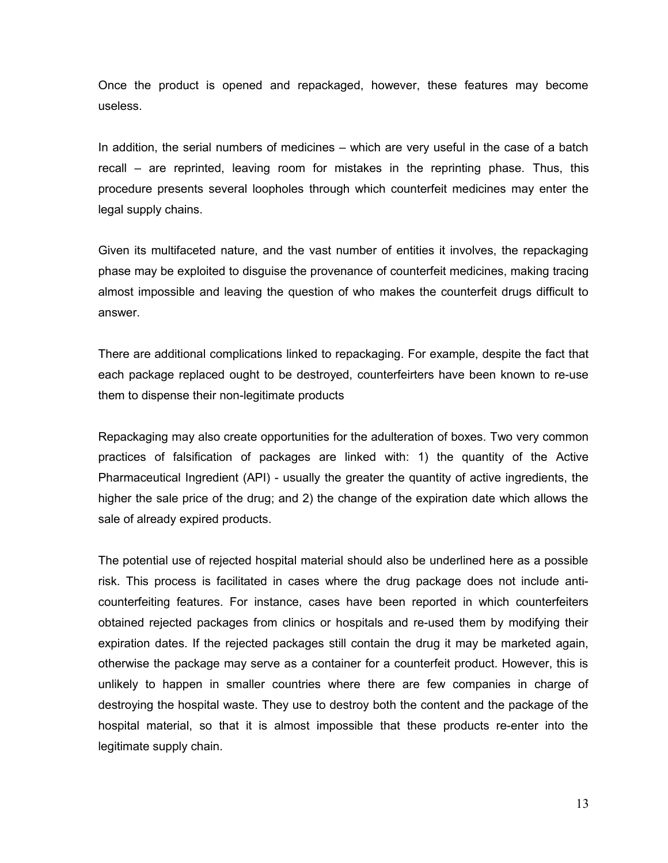Once the product is opened and repackaged, however, these features may become useless.

In addition, the serial numbers of medicines – which are very useful in the case of a batch recall – are reprinted, leaving room for mistakes in the reprinting phase. Thus, this procedure presents several loopholes through which counterfeit medicines may enter the legal supply chains.

Given its multifaceted nature, and the vast number of entities it involves, the repackaging phase may be exploited to disguise the provenance of counterfeit medicines, making tracing almost impossible and leaving the question of who makes the counterfeit drugs difficult to answer.

There are additional complications linked to repackaging. For example, despite the fact that each package replaced ought to be destroyed, counterfeirters have been known to re-use them to dispense their non-legitimate products

Repackaging may also create opportunities for the adulteration of boxes. Two very common practices of falsification of packages are linked with: 1) the quantity of the Active Pharmaceutical Ingredient (API) - usually the greater the quantity of active ingredients, the higher the sale price of the drug; and 2) the change of the expiration date which allows the sale of already expired products.

The potential use of rejected hospital material should also be underlined here as a possible risk. This process is facilitated in cases where the drug package does not include anticounterfeiting features. For instance, cases have been reported in which counterfeiters obtained rejected packages from clinics or hospitals and re-used them by modifying their expiration dates. If the rejected packages still contain the drug it may be marketed again, otherwise the package may serve as a container for a counterfeit product. However, this is unlikely to happen in smaller countries where there are few companies in charge of destroying the hospital waste. They use to destroy both the content and the package of the hospital material, so that it is almost impossible that these products re-enter into the legitimate supply chain.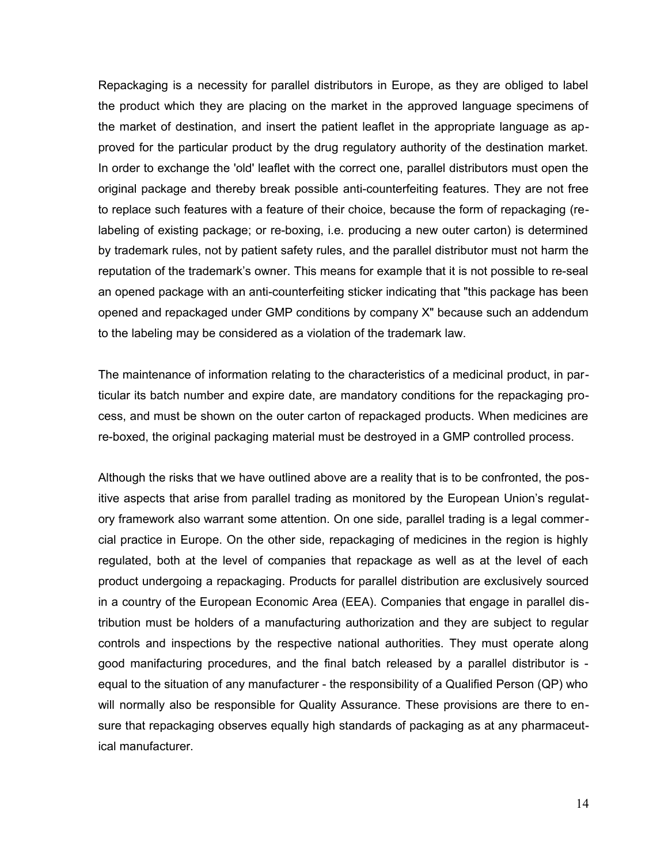Repackaging is a necessity for parallel distributors in Europe, as they are obliged to label the product which they are placing on the market in the approved language specimens of the market of destination, and insert the patient leaflet in the appropriate language as approved for the particular product by the drug regulatory authority of the destination market. In order to exchange the 'old' leaflet with the correct one, parallel distributors must open the original package and thereby break possible anti-counterfeiting features. They are not free to replace such features with a feature of their choice, because the form of repackaging (relabeling of existing package; or re-boxing, i.e. producing a new outer carton) is determined by trademark rules, not by patient safety rules, and the parallel distributor must not harm the reputation of the trademark's owner. This means for example that it is not possible to re-seal an opened package with an anti-counterfeiting sticker indicating that "this package has been opened and repackaged under GMP conditions by company X" because such an addendum to the labeling may be considered as a violation of the trademark law.

The maintenance of information relating to the characteristics of a medicinal product, in particular its batch number and expire date, are mandatory conditions for the repackaging process, and must be shown on the outer carton of repackaged products. When medicines are re-boxed, the original packaging material must be destroyed in a GMP controlled process.

Although the risks that we have outlined above are a reality that is to be confronted, the positive aspects that arise from parallel trading as monitored by the European Union's regulatory framework also warrant some attention. On one side, parallel trading is a legal commercial practice in Europe. On the other side, repackaging of medicines in the region is highly regulated, both at the level of companies that repackage as well as at the level of each product undergoing a repackaging. Products for parallel distribution are exclusively sourced in a country of the European Economic Area (EEA). Companies that engage in parallel distribution must be holders of a manufacturing authorization and they are subject to regular controls and inspections by the respective national authorities. They must operate along good manifacturing procedures, and the final batch released by a parallel distributor is equal to the situation of any manufacturer - the responsibility of a Qualified Person (QP) who will normally also be responsible for Quality Assurance. These provisions are there to ensure that repackaging observes equally high standards of packaging as at any pharmaceutical manufacturer.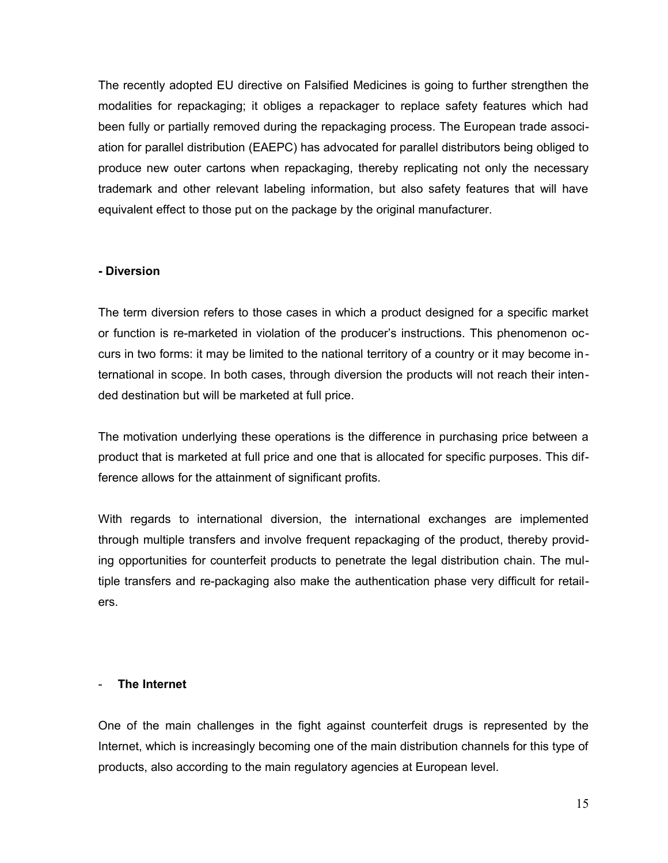The recently adopted EU directive on Falsified Medicines is going to further strengthen the modalities for repackaging; it obliges a repackager to replace safety features which had been fully or partially removed during the repackaging process. The European trade association for parallel distribution (EAEPC) has advocated for parallel distributors being obliged to produce new outer cartons when repackaging, thereby replicating not only the necessary trademark and other relevant labeling information, but also safety features that will have equivalent effect to those put on the package by the original manufacturer*.* 

#### **- Diversion**

The term diversion refers to those cases in which a product designed for a specific market or function is re-marketed in violation of the producer's instructions. This phenomenon occurs in two forms: it may be limited to the national territory of a country or it may become international in scope. In both cases, through diversion the products will not reach their intended destination but will be marketed at full price.

The motivation underlying these operations is the difference in purchasing price between a product that is marketed at full price and one that is allocated for specific purposes. This difference allows for the attainment of significant profits.

With regards to international diversion, the international exchanges are implemented through multiple transfers and involve frequent repackaging of the product, thereby providing opportunities for counterfeit products to penetrate the legal distribution chain. The multiple transfers and re-packaging also make the authentication phase very difficult for retailers.

#### - **The Internet**

One of the main challenges in the fight against counterfeit drugs is represented by the Internet, which is increasingly becoming one of the main distribution channels for this type of products, also according to the main regulatory agencies at European level.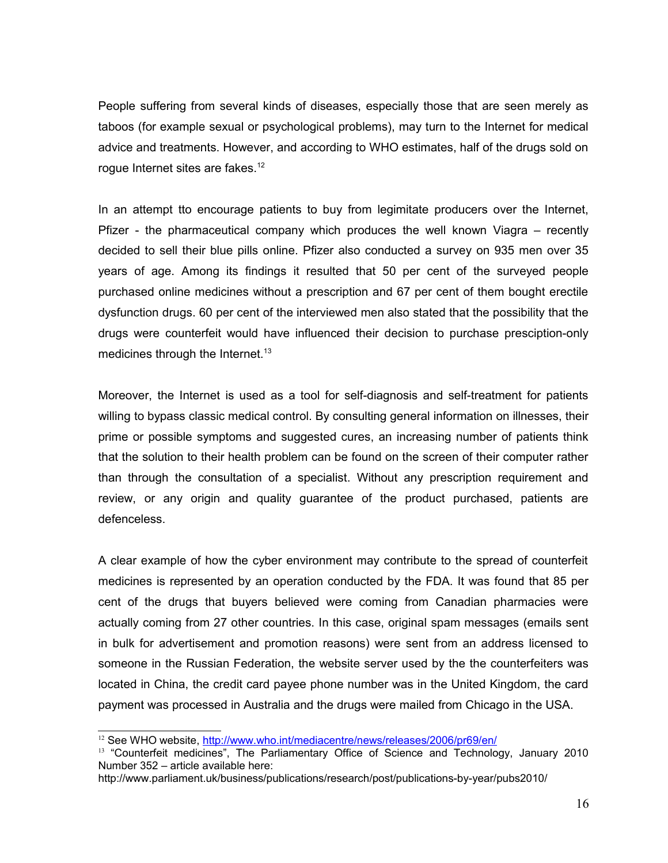People suffering from several kinds of diseases, especially those that are seen merely as taboos (for example sexual or psychological problems), may turn to the Internet for medical advice and treatments. However, and according to WHO estimates, half of the drugs sold on rogue Internet sites are fakes.<sup>[12](#page-15-0)</sup>

In an attempt tto encourage patients to buy from legimitate producers over the Internet, Pfizer - the pharmaceutical company which produces the well known Viagra – recently decided to sell their blue pills online. Pfizer also conducted a survey on 935 men over 35 years of age. Among its findings it resulted that 50 per cent of the surveyed people purchased online medicines without a prescription and 67 per cent of them bought erectile dysfunction drugs. 60 per cent of the interviewed men also stated that the possibility that the drugs were counterfeit would have influenced their decision to purchase presciption-only medicines through the Internet.<sup>[13](#page-15-1)</sup>

Moreover, the Internet is used as a tool for self-diagnosis and self-treatment for patients willing to bypass classic medical control. By consulting general information on illnesses, their prime or possible symptoms and suggested cures, an increasing number of patients think that the solution to their health problem can be found on the screen of their computer rather than through the consultation of a specialist. Without any prescription requirement and review, or any origin and quality guarantee of the product purchased, patients are defenceless.

A clear example of how the cyber environment may contribute to the spread of counterfeit medicines is represented by an operation conducted by the FDA. It was found that 85 per cent of the drugs that buyers believed were coming from Canadian pharmacies were actually coming from 27 other countries. In this case, original spam messages (emails sent in bulk for advertisement and promotion reasons) were sent from an address licensed to someone in the Russian Federation, the website server used by the the counterfeiters was located in China, the credit card payee phone number was in the United Kingdom, the card payment was processed in Australia and the drugs were mailed from Chicago in the USA.

<span id="page-15-0"></span><sup>&</sup>lt;sup>12</sup> See WHO website,<http://www.who.int/mediacentre/news/releases/2006/pr69/en/>

<span id="page-15-1"></span><sup>&</sup>lt;sup>13</sup> "Counterfeit medicines", The Parliamentary Office of Science and Technology, January 2010 Number 352 – article available here:

http://www.parliament.uk/business/publications/research/post/publications-by-year/pubs2010/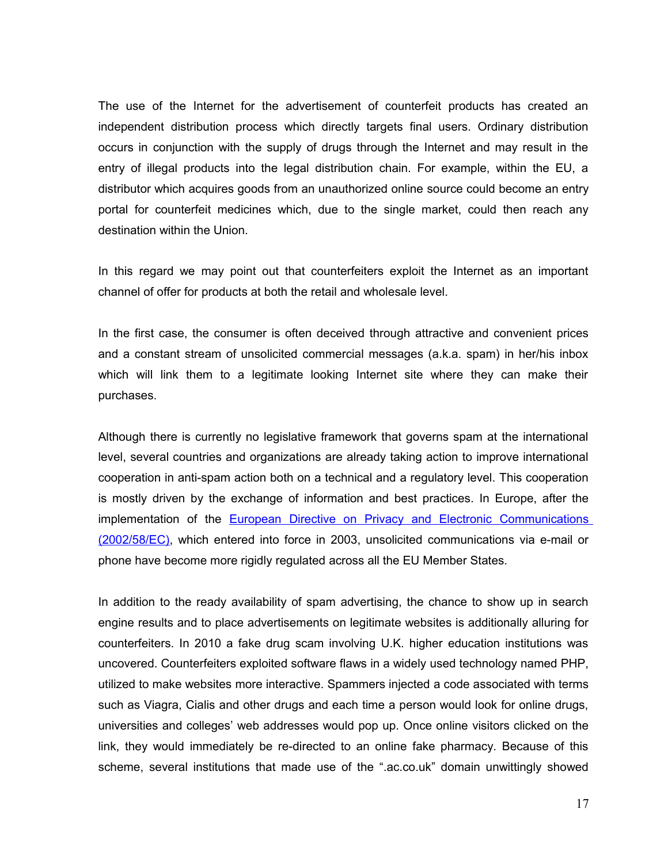The use of the Internet for the advertisement of counterfeit products has created an independent distribution process which directly targets final users. Ordinary distribution occurs in conjunction with the supply of drugs through the Internet and may result in the entry of illegal products into the legal distribution chain. For example, within the EU, a distributor which acquires goods from an unauthorized online source could become an entry portal for counterfeit medicines which, due to the single market, could then reach any destination within the Union.

In this regard we may point out that counterfeiters exploit the Internet as an important channel of offer for products at both the retail and wholesale level.

In the first case, the consumer is often deceived through attractive and convenient prices and a constant stream of unsolicited commercial messages (a.k.a. spam) in her/his inbox which will link them to a legitimate looking Internet site where they can make their purchases.

Although there is currently no legislative framework that governs spam at the international level, several countries and organizations are already taking action to improve international cooperation in anti-spam action both on a technical and a regulatory level. This cooperation is mostly driven by the exchange of information and best practices. In Europe, after the implementation of the [European Directive on Privacy and Electronic Communications](http://europa.eu.int/eur-lex/pri/en/oj/dat/2002/l_201/l_20120020731en00370047.pdf) [\(2002/58/EC\),](http://europa.eu.int/eur-lex/pri/en/oj/dat/2002/l_201/l_20120020731en00370047.pdf) which entered into force in 2003, unsolicited communications via e-mail or phone have become more rigidly regulated across all the EU Member States.

In addition to the ready availability of spam advertising, the chance to show up in search engine results and to place advertisements on legitimate websites is additionally alluring for counterfeiters. In 2010 a fake drug scam involving U.K. higher education institutions was uncovered. Counterfeiters exploited software flaws in a widely used technology named PHP, utilized to make websites more interactive. Spammers injected a code associated with terms such as Viagra, Cialis and other drugs and each time a person would look for online drugs, universities and colleges' web addresses would pop up. Once online visitors clicked on the link, they would immediately be re-directed to an online fake pharmacy. Because of this scheme, several institutions that made use of the ".ac.co.uk" domain unwittingly showed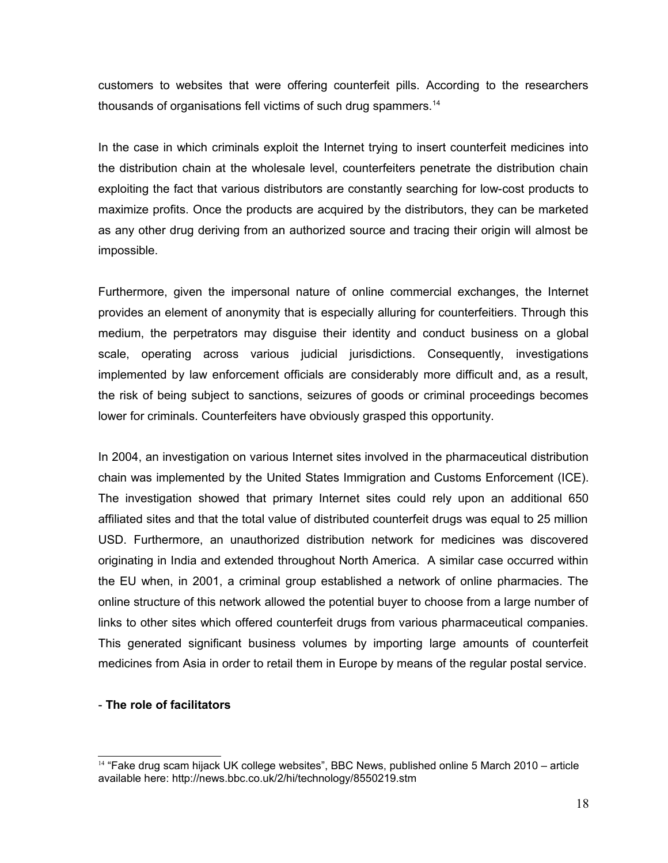customers to websites that were offering counterfeit pills. According to the researchers thousands of organisations fell victims of such drug spammers.<sup>[14](#page-17-0)</sup>

In the case in which criminals exploit the Internet trying to insert counterfeit medicines into the distribution chain at the wholesale level, counterfeiters penetrate the distribution chain exploiting the fact that various distributors are constantly searching for low-cost products to maximize profits. Once the products are acquired by the distributors, they can be marketed as any other drug deriving from an authorized source and tracing their origin will almost be impossible.

Furthermore, given the impersonal nature of online commercial exchanges, the Internet provides an element of anonymity that is especially alluring for counterfeitiers. Through this medium, the perpetrators may disguise their identity and conduct business on a global scale, operating across various judicial jurisdictions. Consequently, investigations implemented by law enforcement officials are considerably more difficult and, as a result, the risk of being subject to sanctions, seizures of goods or criminal proceedings becomes lower for criminals. Counterfeiters have obviously grasped this opportunity.

In 2004, an investigation on various Internet sites involved in the pharmaceutical distribution chain was implemented by the United States Immigration and Customs Enforcement (ICE). The investigation showed that primary Internet sites could rely upon an additional 650 affiliated sites and that the total value of distributed counterfeit drugs was equal to 25 million USD. Furthermore, an unauthorized distribution network for medicines was discovered originating in India and extended throughout North America. A similar case occurred within the EU when, in 2001, a criminal group established a network of online pharmacies. The online structure of this network allowed the potential buyer to choose from a large number of links to other sites which offered counterfeit drugs from various pharmaceutical companies. This generated significant business volumes by importing large amounts of counterfeit medicines from Asia in order to retail them in Europe by means of the regular postal service.

## - **The role of facilitators**

<span id="page-17-0"></span><sup>&</sup>lt;sup>14</sup> "Fake drug scam hijack UK college websites", BBC News, published online 5 March 2010 – article available here: http://news.bbc.co.uk/2/hi/technology/8550219.stm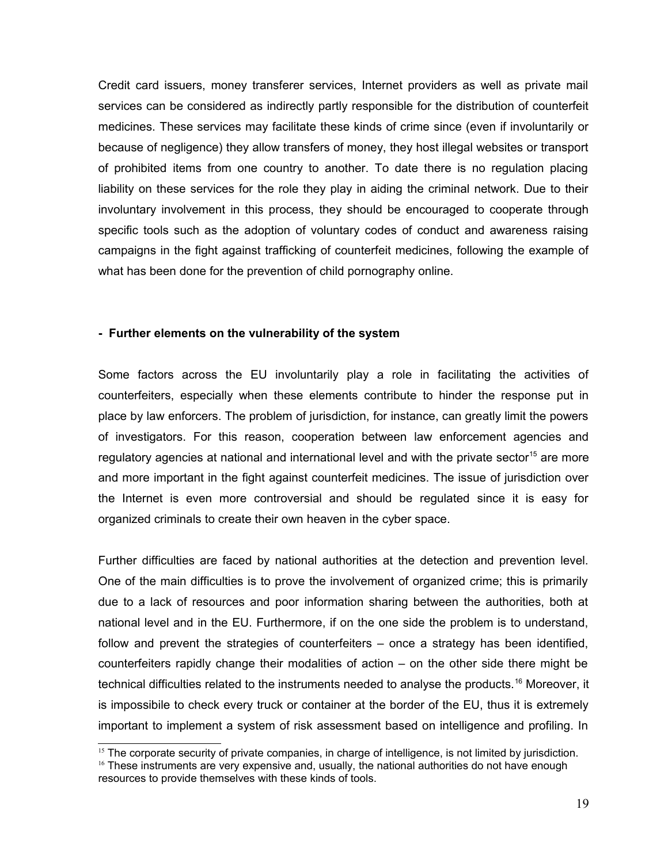Credit card issuers, money transferer services, Internet providers as well as private mail services can be considered as indirectly partly responsible for the distribution of counterfeit medicines. These services may facilitate these kinds of crime since (even if involuntarily or because of negligence) they allow transfers of money, they host illegal websites or transport of prohibited items from one country to another. To date there is no regulation placing liability on these services for the role they play in aiding the criminal network. Due to their involuntary involvement in this process, they should be encouraged to cooperate through specific tools such as the adoption of voluntary codes of conduct and awareness raising campaigns in the fight against trafficking of counterfeit medicines, following the example of what has been done for the prevention of child pornography online.

#### **- Further elements on the vulnerability of the system**

Some factors across the EU involuntarily play a role in facilitating the activities of counterfeiters, especially when these elements contribute to hinder the response put in place by law enforcers. The problem of jurisdiction, for instance, can greatly limit the powers of investigators. For this reason, cooperation between law enforcement agencies and regulatory agencies at national and international level and with the private sector<sup>[15](#page-18-0)</sup> are more and more important in the fight against counterfeit medicines. The issue of jurisdiction over the Internet is even more controversial and should be regulated since it is easy for organized criminals to create their own heaven in the cyber space.

Further difficulties are faced by national authorities at the detection and prevention level. One of the main difficulties is to prove the involvement of organized crime; this is primarily due to a lack of resources and poor information sharing between the authorities, both at national level and in the EU. Furthermore, if on the one side the problem is to understand, follow and prevent the strategies of counterfeiters – once a strategy has been identified, counterfeiters rapidly change their modalities of action – on the other side there might be technical difficulties related to the instruments needed to analyse the products.<sup>[16](#page-18-1)</sup> Moreover, it is impossibile to check every truck or container at the border of the EU, thus it is extremely important to implement a system of risk assessment based on intelligence and profiling. In

<span id="page-18-0"></span> $15$  The corporate security of private companies, in charge of intelligence, is not limited by jurisdiction.

<span id="page-18-1"></span> $<sup>16</sup>$  These instruments are very expensive and, usually, the national authorities do not have enough</sup> resources to provide themselves with these kinds of tools.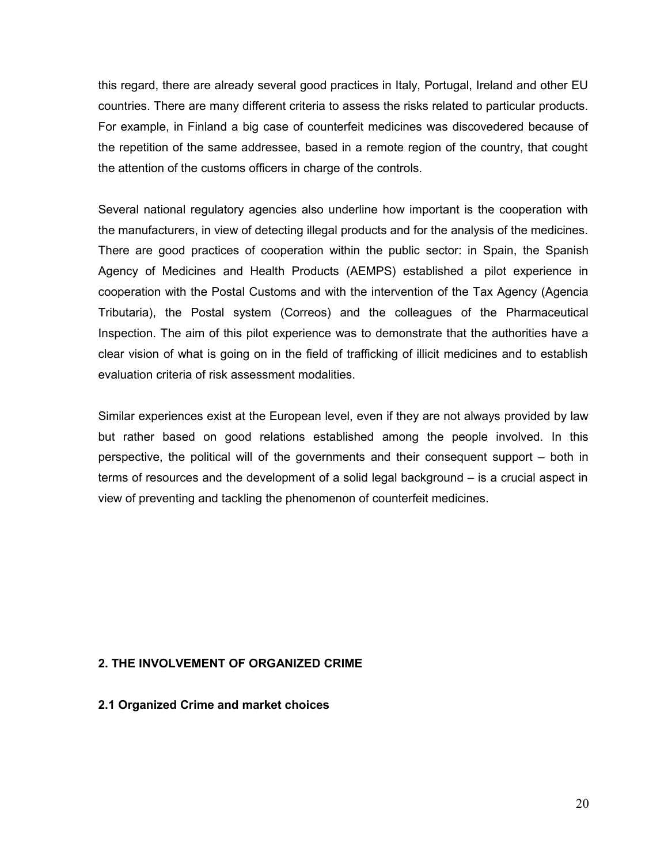this regard, there are already several good practices in Italy, Portugal, Ireland and other EU countries. There are many different criteria to assess the risks related to particular products. For example, in Finland a big case of counterfeit medicines was discovedered because of the repetition of the same addressee, based in a remote region of the country, that cought the attention of the customs officers in charge of the controls.

Several national regulatory agencies also underline how important is the cooperation with the manufacturers, in view of detecting illegal products and for the analysis of the medicines. There are good practices of cooperation within the public sector: in Spain, the Spanish Agency of Medicines and Health Products (AEMPS) established a pilot experience in cooperation with the Postal Customs and with the intervention of the Tax Agency (Agencia Tributaria), the Postal system (Correos) and the colleagues of the Pharmaceutical Inspection. The aim of this pilot experience was to demonstrate that the authorities have a clear vision of what is going on in the field of trafficking of illicit medicines and to establish evaluation criteria of risk assessment modalities.

Similar experiences exist at the European level, even if they are not always provided by law but rather based on good relations established among the people involved. In this perspective, the political will of the governments and their consequent support – both in terms of resources and the development of a solid legal background – is a crucial aspect in view of preventing and tackling the phenomenon of counterfeit medicines.

## **2. THE INVOLVEMENT OF ORGANIZED CRIME**

**2.1 Organized Crime and market choices**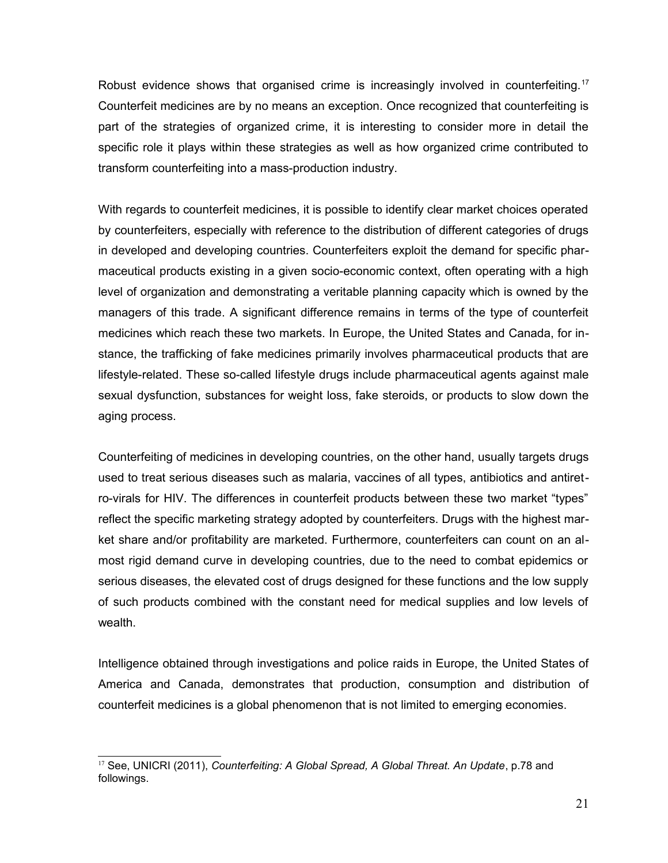Robust evidence shows that organised crime is increasingly involved in counterfeiting.<sup>[17](#page-20-0)</sup> Counterfeit medicines are by no means an exception. Once recognized that counterfeiting is part of the strategies of organized crime, it is interesting to consider more in detail the specific role it plays within these strategies as well as how organized crime contributed to transform counterfeiting into a mass-production industry.

With regards to counterfeit medicines, it is possible to identify clear market choices operated by counterfeiters, especially with reference to the distribution of different categories of drugs in developed and developing countries. Counterfeiters exploit the demand for specific pharmaceutical products existing in a given socio-economic context, often operating with a high level of organization and demonstrating a veritable planning capacity which is owned by the managers of this trade. A significant difference remains in terms of the type of counterfeit medicines which reach these two markets. In Europe, the United States and Canada, for instance, the trafficking of fake medicines primarily involves pharmaceutical products that are lifestyle-related. These so-called lifestyle drugs include pharmaceutical agents against male sexual dysfunction, substances for weight loss, fake steroids, or products to slow down the aging process.

Counterfeiting of medicines in developing countries, on the other hand, usually targets drugs used to treat serious diseases such as malaria, vaccines of all types, antibiotics and antiretro-virals for HIV. The differences in counterfeit products between these two market "types" reflect the specific marketing strategy adopted by counterfeiters. Drugs with the highest market share and/or profitability are marketed. Furthermore, counterfeiters can count on an almost rigid demand curve in developing countries, due to the need to combat epidemics or serious diseases, the elevated cost of drugs designed for these functions and the low supply of such products combined with the constant need for medical supplies and low levels of wealth.

Intelligence obtained through investigations and police raids in Europe, the United States of America and Canada, demonstrates that production, consumption and distribution of counterfeit medicines is a global phenomenon that is not limited to emerging economies.

<span id="page-20-0"></span><sup>17</sup> See, UNICRI (2011), *Counterfeiting: A Global Spread, A Global Threat. An Update*, p.78 and followings.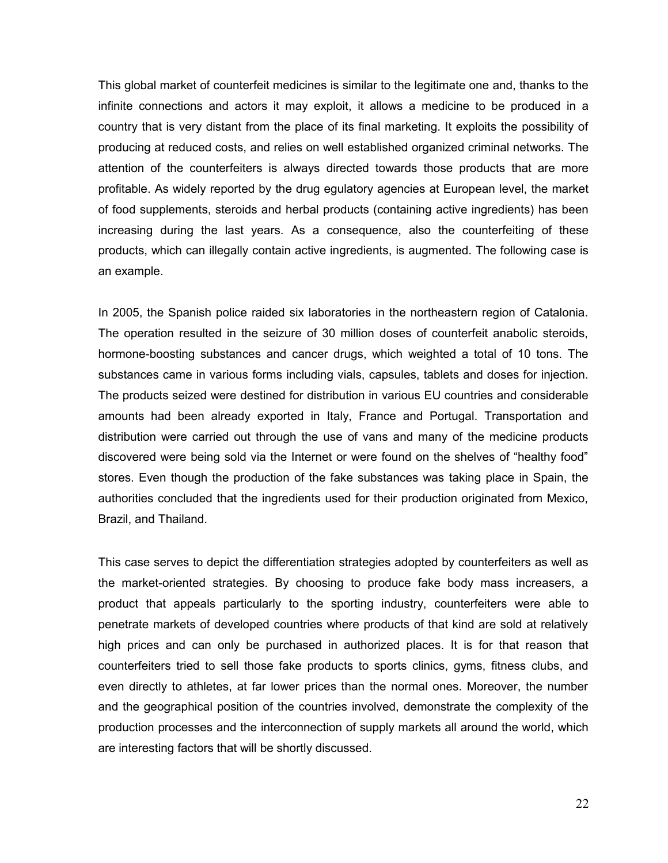This global market of counterfeit medicines is similar to the legitimate one and, thanks to the infinite connections and actors it may exploit, it allows a medicine to be produced in a country that is very distant from the place of its final marketing. It exploits the possibility of producing at reduced costs, and relies on well established organized criminal networks. The attention of the counterfeiters is always directed towards those products that are more profitable. As widely reported by the drug egulatory agencies at European level, the market of food supplements, steroids and herbal products (containing active ingredients) has been increasing during the last years. As a consequence, also the counterfeiting of these products, which can illegally contain active ingredients, is augmented. The following case is an example.

In 2005, the Spanish police raided six laboratories in the northeastern region of Catalonia. The operation resulted in the seizure of 30 million doses of counterfeit anabolic steroids, hormone-boosting substances and cancer drugs, which weighted a total of 10 tons. The substances came in various forms including vials, capsules, tablets and doses for injection. The products seized were destined for distribution in various EU countries and considerable amounts had been already exported in Italy, France and Portugal. Transportation and distribution were carried out through the use of vans and many of the medicine products discovered were being sold via the Internet or were found on the shelves of "healthy food" stores. Even though the production of the fake substances was taking place in Spain, the authorities concluded that the ingredients used for their production originated from Mexico, Brazil, and Thailand.

This case serves to depict the differentiation strategies adopted by counterfeiters as well as the market-oriented strategies. By choosing to produce fake body mass increasers, a product that appeals particularly to the sporting industry, counterfeiters were able to penetrate markets of developed countries where products of that kind are sold at relatively high prices and can only be purchased in authorized places. It is for that reason that counterfeiters tried to sell those fake products to sports clinics, gyms, fitness clubs, and even directly to athletes, at far lower prices than the normal ones. Moreover, the number and the geographical position of the countries involved, demonstrate the complexity of the production processes and the interconnection of supply markets all around the world, which are interesting factors that will be shortly discussed.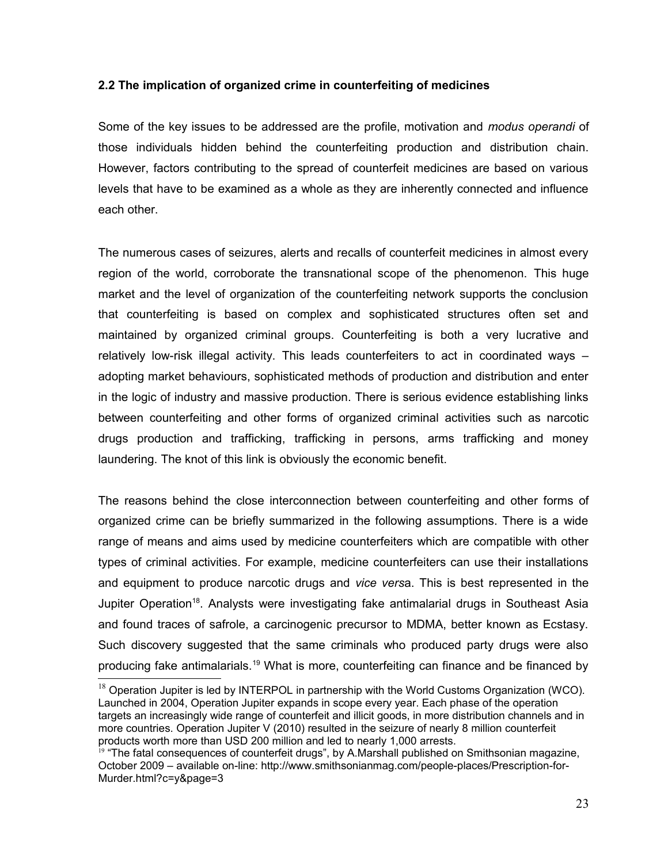## **2.2 The implication of organized crime in counterfeiting of medicines**

Some of the key issues to be addressed are the profile, motivation and *modus operandi* of those individuals hidden behind the counterfeiting production and distribution chain. However, factors contributing to the spread of counterfeit medicines are based on various levels that have to be examined as a whole as they are inherently connected and influence each other.

The numerous cases of seizures, alerts and recalls of counterfeit medicines in almost every region of the world, corroborate the transnational scope of the phenomenon. This huge market and the level of organization of the counterfeiting network supports the conclusion that counterfeiting is based on complex and sophisticated structures often set and maintained by organized criminal groups. Counterfeiting is both a very lucrative and relatively low-risk illegal activity. This leads counterfeiters to act in coordinated ways – adopting market behaviours, sophisticated methods of production and distribution and enter in the logic of industry and massive production. There is serious evidence establishing links between counterfeiting and other forms of organized criminal activities such as narcotic drugs production and trafficking, trafficking in persons, arms trafficking and money laundering. The knot of this link is obviously the economic benefit.

The reasons behind the close interconnection between counterfeiting and other forms of organized crime can be briefly summarized in the following assumptions. There is a wide range of means and aims used by medicine counterfeiters which are compatible with other types of criminal activities. For example, medicine counterfeiters can use their installations and equipment to produce narcotic drugs and *vice vers*a. This is best represented in the Jupiter Operation<sup>[18](#page-22-0)</sup>. Analysts were investigating fake antimalarial drugs in Southeast Asia and found traces of safrole, a carcinogenic precursor to MDMA, better known as Ecstasy. Such discovery suggested that the same criminals who produced party drugs were also producing fake antimalarials.<sup>[19](#page-22-1)</sup> What is more, counterfeiting can finance and be financed by

<span id="page-22-0"></span> $18$  Operation Jupiter is led by INTERPOL in partnership with the World Customs Organization (WCO). Launched in 2004, Operation Jupiter expands in scope every year. Each phase of the operation targets an increasingly wide range of counterfeit and illicit goods, in more distribution channels and in more countries. Operation Jupiter V (2010) resulted in the seizure of nearly 8 million counterfeit products worth more than USD 200 million and led to nearly 1,000 arrests.

<span id="page-22-1"></span><sup>&</sup>lt;sup>19</sup> "The fatal consequences of counterfeit drugs", by A.Marshall published on Smithsonian magazine, October 2009 – available on-line: http://www.smithsonianmag.com/people-places/Prescription-for-Murder.html?c=y&page=3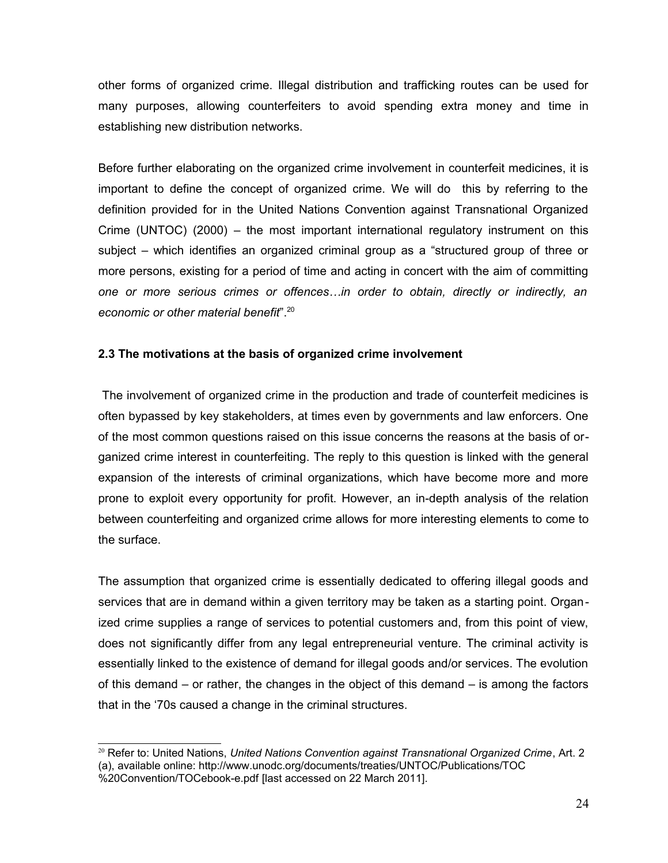other forms of organized crime. Illegal distribution and trafficking routes can be used for many purposes, allowing counterfeiters to avoid spending extra money and time in establishing new distribution networks.

Before further elaborating on the organized crime involvement in counterfeit medicines, it is important to define the concept of organized crime. We will do this by referring to the definition provided for in the United Nations Convention against Transnational Organized Crime (UNTOC) (2000) – the most important international regulatory instrument on this subject – which identifies an organized criminal group as a "structured group of three or more persons, existing for a period of time and acting in concert with the aim of committing *one or more serious crimes or offences…in order to obtain, directly or indirectly, an economic or other material benefit*". [20](#page-23-0)

## **2.3 The motivations at the basis of organized crime involvement**

 The involvement of organized crime in the production and trade of counterfeit medicines is often bypassed by key stakeholders, at times even by governments and law enforcers. One of the most common questions raised on this issue concerns the reasons at the basis of organized crime interest in counterfeiting. The reply to this question is linked with the general expansion of the interests of criminal organizations, which have become more and more prone to exploit every opportunity for profit. However, an in-depth analysis of the relation between counterfeiting and organized crime allows for more interesting elements to come to the surface.

The assumption that organized crime is essentially dedicated to offering illegal goods and services that are in demand within a given territory may be taken as a starting point. Organized crime supplies a range of services to potential customers and, from this point of view, does not significantly differ from any legal entrepreneurial venture. The criminal activity is essentially linked to the existence of demand for illegal goods and/or services. The evolution of this demand – or rather, the changes in the object of this demand – is among the factors that in the '70s caused a change in the criminal structures.

<span id="page-23-0"></span><sup>20</sup> Refer to: United Nations, *United Nations Convention against Transnational Organized Crime*, Art. 2 (a), available online: http://www.unodc.org/documents/treaties/UNTOC/Publications/TOC

<sup>%20</sup>Convention/TOCebook-e.pdf [last accessed on 22 March 2011].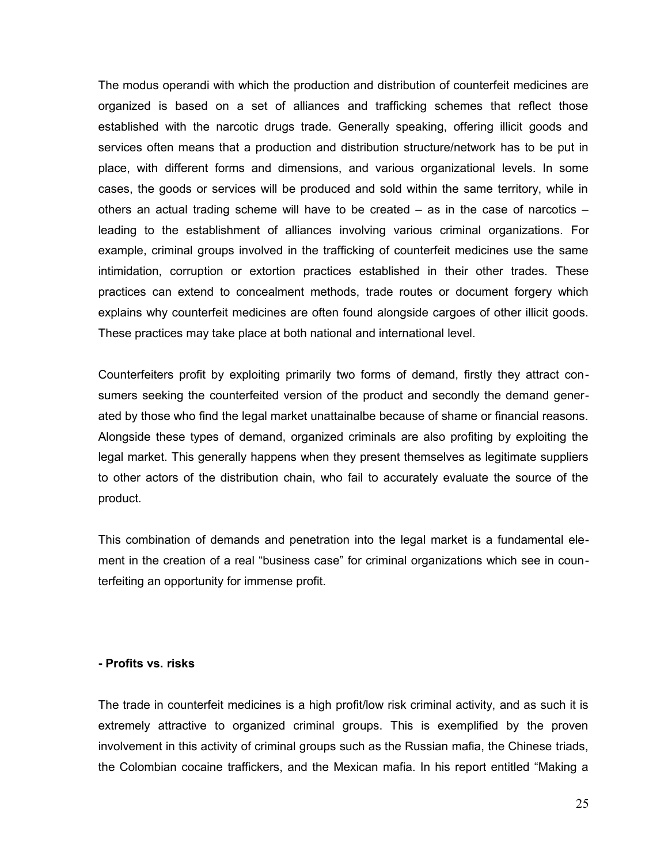The modus operandi with which the production and distribution of counterfeit medicines are organized is based on a set of alliances and trafficking schemes that reflect those established with the narcotic drugs trade. Generally speaking, offering illicit goods and services often means that a production and distribution structure/network has to be put in place, with different forms and dimensions, and various organizational levels. In some cases, the goods or services will be produced and sold within the same territory, while in others an actual trading scheme will have to be created  $-$  as in the case of narcotics  $$ leading to the establishment of alliances involving various criminal organizations. For example, criminal groups involved in the trafficking of counterfeit medicines use the same intimidation, corruption or extortion practices established in their other trades. These practices can extend to concealment methods, trade routes or document forgery which explains why counterfeit medicines are often found alongside cargoes of other illicit goods. These practices may take place at both national and international level.

Counterfeiters profit by exploiting primarily two forms of demand, firstly they attract consumers seeking the counterfeited version of the product and secondly the demand generated by those who find the legal market unattainalbe because of shame or financial reasons. Alongside these types of demand, organized criminals are also profiting by exploiting the legal market. This generally happens when they present themselves as legitimate suppliers to other actors of the distribution chain, who fail to accurately evaluate the source of the product.

This combination of demands and penetration into the legal market is a fundamental element in the creation of a real "business case" for criminal organizations which see in counterfeiting an opportunity for immense profit.

#### **- Profits vs. risks**

The trade in counterfeit medicines is a high profit/low risk criminal activity, and as such it is extremely attractive to organized criminal groups. This is exemplified by the proven involvement in this activity of criminal groups such as the Russian mafia, the Chinese triads, the Colombian cocaine traffickers, and the Mexican mafia. In his report entitled "Making a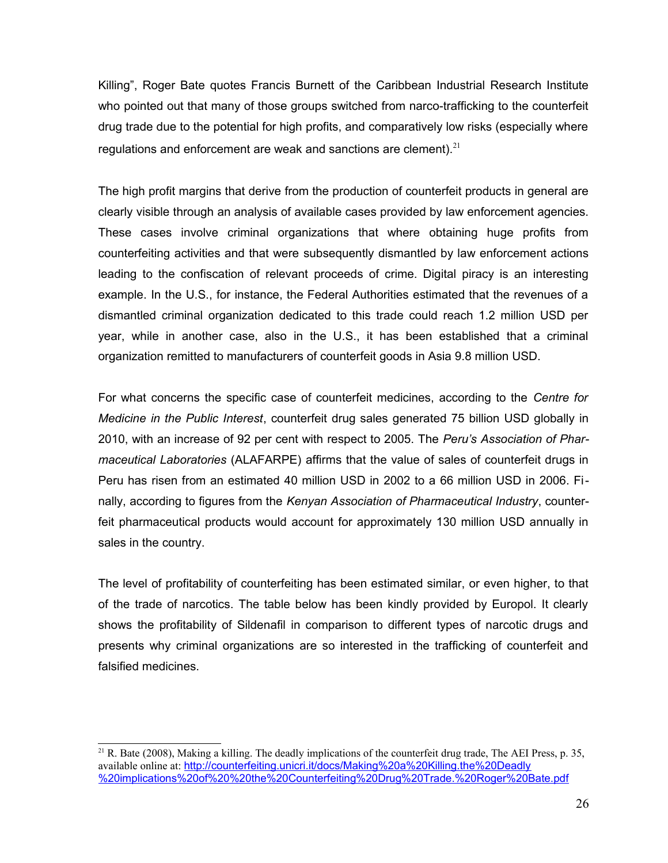Killing", Roger Bate quotes Francis Burnett of the Caribbean Industrial Research Institute who pointed out that many of those groups switched from narco-trafficking to the counterfeit drug trade due to the potential for high profits, and comparatively low risks (especially where regulations and enforcement are weak and sanctions are clement). $21$ 

The high profit margins that derive from the production of counterfeit products in general are clearly visible through an analysis of available cases provided by law enforcement agencies. These cases involve criminal organizations that where obtaining huge profits from counterfeiting activities and that were subsequently dismantled by law enforcement actions leading to the confiscation of relevant proceeds of crime. Digital piracy is an interesting example. In the U.S., for instance, the Federal Authorities estimated that the revenues of a dismantled criminal organization dedicated to this trade could reach 1.2 million USD per year, while in another case, also in the U.S., it has been established that a criminal organization remitted to manufacturers of counterfeit goods in Asia 9.8 million USD.

For what concerns the specific case of counterfeit medicines, according to the *Centre for Medicine in the Public Interest*, counterfeit drug sales generated 75 billion USD globally in 2010, with an increase of 92 per cent with respect to 2005. The *Peru's Association of Pharmaceutical Laboratories* (ALAFARPE) affirms that the value of sales of counterfeit drugs in Peru has risen from an estimated 40 million USD in 2002 to a 66 million USD in 2006. Finally, according to figures from the *Kenyan Association of Pharmaceutical Industry*, counterfeit pharmaceutical products would account for approximately 130 million USD annually in sales in the country.

The level of profitability of counterfeiting has been estimated similar, or even higher, to that of the trade of narcotics. The table below has been kindly provided by Europol. It clearly shows the profitability of Sildenafil in comparison to different types of narcotic drugs and presents why criminal organizations are so interested in the trafficking of counterfeit and falsified medicines.

<span id="page-25-0"></span> $21$  R. Bate (2008), Making a killing. The deadly implications of the counterfeit drug trade, The AEI Press, p. 35, available online at: [http://counterfeiting.unicri.it/docs/Making%20a%20Killing.the%20Deadly](http://counterfeiting.unicri.it/docs/Making%20a%20Killing.the%20Deadly%20implications%20of%20%20the%20Counterfeiting%20Drug%20Trade.%20Roger%20Bate.pdf) [%20implications%20of%20%20the%20Counterfeiting%20Drug%20Trade.%20Roger%20Bate.pdf](http://counterfeiting.unicri.it/docs/Making%20a%20Killing.the%20Deadly%20implications%20of%20%20the%20Counterfeiting%20Drug%20Trade.%20Roger%20Bate.pdf)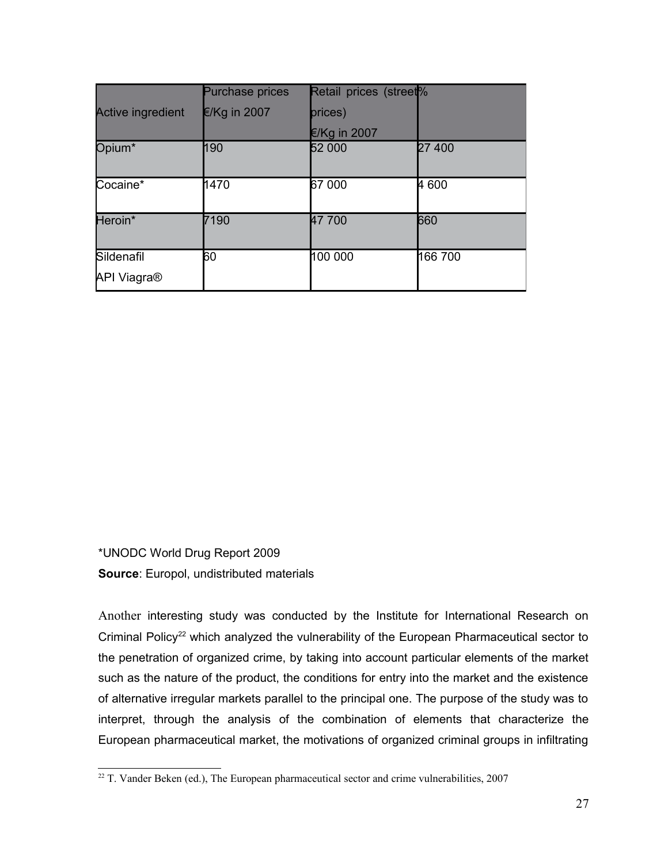|                                  | <b>Purchase prices</b> | Retail prices (street <sup>%</sup> |         |
|----------------------------------|------------------------|------------------------------------|---------|
| <b>Active ingredient</b>         | $E/Kg$ in 2007         | prices)                            |         |
|                                  |                        | $€$ /Kg in 2007                    |         |
| Opium*                           | 190                    | 52 000                             | 27 400  |
| Cocaine*                         | 1470                   | 67 000                             | 4 600   |
| Heroin*                          | 7190                   | 47 700                             | 660     |
| Sildenafil<br><b>API Viagra®</b> | 60                     | 100 000                            | 166 700 |

\*UNODC World Drug Report 2009 **Source**: Europol, undistributed materials

Another interesting study was conducted by the Institute for International Research on Criminal Policy<sup>[22](#page-26-0)</sup> which analyzed the vulnerability of the European Pharmaceutical sector to the penetration of organized crime, by taking into account particular elements of the market such as the nature of the product, the conditions for entry into the market and the existence of alternative irregular markets parallel to the principal one. The purpose of the study was to interpret, through the analysis of the combination of elements that characterize the European pharmaceutical market, the motivations of organized criminal groups in infiltrating

<span id="page-26-0"></span> $22$  T. Vander Beken (ed.), The European pharmaceutical sector and crime vulnerabilities, 2007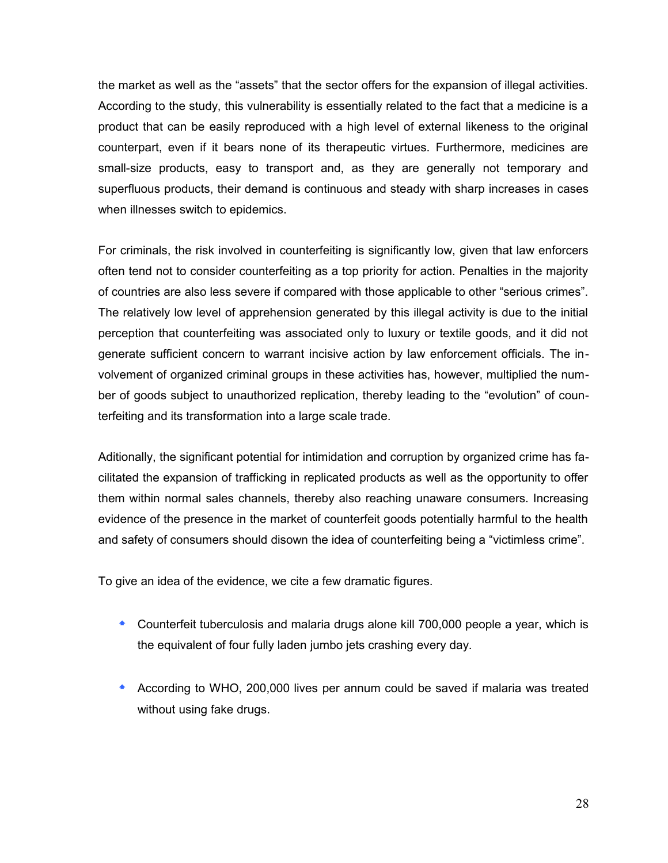the market as well as the "assets" that the sector offers for the expansion of illegal activities. According to the study, this vulnerability is essentially related to the fact that a medicine is a product that can be easily reproduced with a high level of external likeness to the original counterpart, even if it bears none of its therapeutic virtues. Furthermore, medicines are small-size products, easy to transport and, as they are generally not temporary and superfluous products, their demand is continuous and steady with sharp increases in cases when illnesses switch to epidemics.

For criminals, the risk involved in counterfeiting is significantly low, given that law enforcers often tend not to consider counterfeiting as a top priority for action. Penalties in the majority of countries are also less severe if compared with those applicable to other "serious crimes". The relatively low level of apprehension generated by this illegal activity is due to the initial perception that counterfeiting was associated only to luxury or textile goods, and it did not generate sufficient concern to warrant incisive action by law enforcement officials. The involvement of organized criminal groups in these activities has, however, multiplied the number of goods subject to unauthorized replication, thereby leading to the "evolution" of counterfeiting and its transformation into a large scale trade.

Aditionally, the significant potential for intimidation and corruption by organized crime has facilitated the expansion of trafficking in replicated products as well as the opportunity to offer them within normal sales channels, thereby also reaching unaware consumers. Increasing evidence of the presence in the market of counterfeit goods potentially harmful to the health and safety of consumers should disown the idea of counterfeiting being a "victimless crime".

To give an idea of the evidence, we cite a few dramatic figures.

- Counterfeit tuberculosis and malaria drugs alone kill 700,000 people a year, which is the equivalent of four fully laden jumbo jets crashing every day.
- According to WHO, 200,000 lives per annum could be saved if malaria was treated without using fake drugs.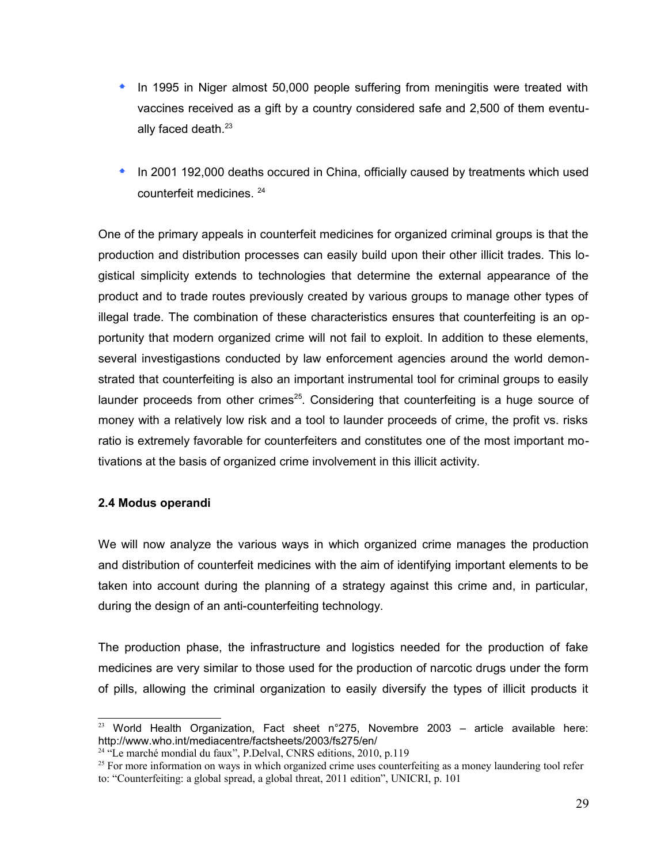- **In 1995 in Niger almost 50,000 people suffering from meningitis were treated with** vaccines received as a gift by a country considered safe and 2,500 of them eventu-ally faced death.<sup>[23](#page-28-0)</sup>
- **In 2001 192,000 deaths occured in China, officially caused by treatments which used** counterfeit medicines. [24](#page-28-1)

One of the primary appeals in counterfeit medicines for organized criminal groups is that the production and distribution processes can easily build upon their other illicit trades. This logistical simplicity extends to technologies that determine the external appearance of the product and to trade routes previously created by various groups to manage other types of illegal trade. The combination of these characteristics ensures that counterfeiting is an opportunity that modern organized crime will not fail to exploit. In addition to these elements, several investigastions conducted by law enforcement agencies around the world demonstrated that counterfeiting is also an important instrumental tool for criminal groups to easily launder proceeds from other crimes<sup>[25](#page-28-2)</sup>. Considering that counterfeiting is a huge source of money with a relatively low risk and a tool to launder proceeds of crime, the profit vs. risks ratio is extremely favorable for counterfeiters and constitutes one of the most important motivations at the basis of organized crime involvement in this illicit activity.

## **2.4 Modus operandi**

We will now analyze the various ways in which organized crime manages the production and distribution of counterfeit medicines with the aim of identifying important elements to be taken into account during the planning of a strategy against this crime and, in particular, during the design of an anti-counterfeiting technology.

The production phase, the infrastructure and logistics needed for the production of fake medicines are very similar to those used for the production of narcotic drugs under the form of pills, allowing the criminal organization to easily diversify the types of illicit products it

<span id="page-28-0"></span><sup>&</sup>lt;sup>23</sup> World Health Organization, Fact sheet n°275, Novembre 2003 – article available here: http://www.who.int/mediacentre/factsheets/2003/fs275/en/

<span id="page-28-1"></span> $24$  "Le marché mondial du faux", P.Delval, CNRS editions, 2010, p.119

<span id="page-28-2"></span><sup>&</sup>lt;sup>25</sup> For more information on ways in which organized crime uses counterfeiting as a money laundering tool refer to: "Counterfeiting: a global spread, a global threat, 2011 edition", UNICRI, p. 101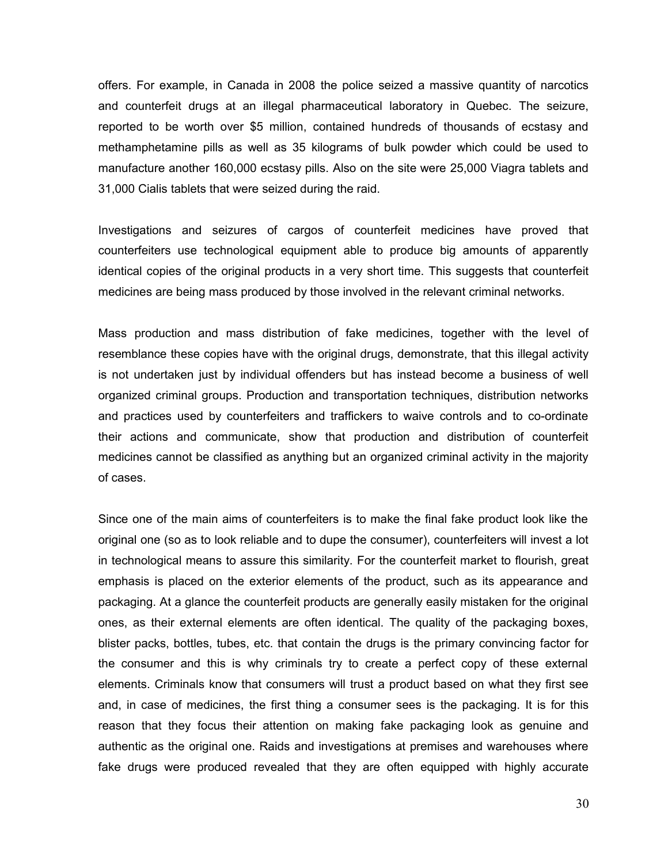offers. For example, in Canada in 2008 the police seized a massive quantity of narcotics and counterfeit drugs at an illegal pharmaceutical laboratory in Quebec. The seizure, reported to be worth over \$5 million, contained hundreds of thousands of ecstasy and methamphetamine pills as well as 35 kilograms of bulk powder which could be used to manufacture another 160,000 ecstasy pills. Also on the site were 25,000 Viagra tablets and 31,000 Cialis tablets that were seized during the raid.

Investigations and seizures of cargos of counterfeit medicines have proved that counterfeiters use technological equipment able to produce big amounts of apparently identical copies of the original products in a very short time. This suggests that counterfeit medicines are being mass produced by those involved in the relevant criminal networks.

Mass production and mass distribution of fake medicines, together with the level of resemblance these copies have with the original drugs, demonstrate, that this illegal activity is not undertaken just by individual offenders but has instead become a business of well organized criminal groups. Production and transportation techniques, distribution networks and practices used by counterfeiters and traffickers to waive controls and to co-ordinate their actions and communicate, show that production and distribution of counterfeit medicines cannot be classified as anything but an organized criminal activity in the majority of cases.

Since one of the main aims of counterfeiters is to make the final fake product look like the original one (so as to look reliable and to dupe the consumer), counterfeiters will invest a lot in technological means to assure this similarity. For the counterfeit market to flourish, great emphasis is placed on the exterior elements of the product, such as its appearance and packaging. At a glance the counterfeit products are generally easily mistaken for the original ones, as their external elements are often identical. The quality of the packaging boxes, blister packs, bottles, tubes, etc. that contain the drugs is the primary convincing factor for the consumer and this is why criminals try to create a perfect copy of these external elements. Criminals know that consumers will trust a product based on what they first see and, in case of medicines, the first thing a consumer sees is the packaging. It is for this reason that they focus their attention on making fake packaging look as genuine and authentic as the original one. Raids and investigations at premises and warehouses where fake drugs were produced revealed that they are often equipped with highly accurate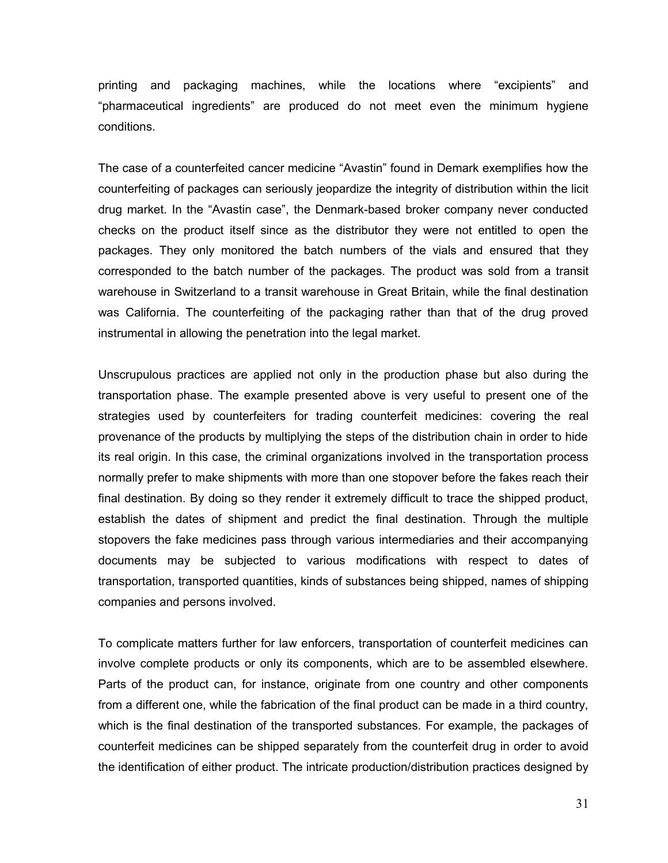printing and packaging machines, while the locations where "excipients" and "pharmaceutical ingredients" are produced do not meet even the minimum hygiene conditions.

The case of a counterfeited cancer medicine "Avastin" found in Demark exemplifies how the counterfeiting of packages can seriously jeopardize the integrity of distribution within the licit drug market. In the "Avastin case", the Denmark-based broker company never conducted checks on the product itself since as the distributor they were not entitled to open the packages. They only monitored the batch numbers of the vials and ensured that they corresponded to the batch number of the packages. The product was sold from a transit warehouse in Switzerland to a transit warehouse in Great Britain, while the final destination was California. The counterfeiting of the packaging rather than that of the drug proved instrumental in allowing the penetration into the legal market.

Unscrupulous practices are applied not only in the production phase but also during the transportation phase. The example presented above is very useful to present one of the strategies used by counterfeiters for trading counterfeit medicines: covering the real provenance of the products by multiplying the steps of the distribution chain in order to hide its real origin. In this case, the criminal organizations involved in the transportation process normally prefer to make shipments with more than one stopover before the fakes reach their final destination. By doing so they render it extremely difficult to trace the shipped product, establish the dates of shipment and predict the final destination. Through the multiple stopovers the fake medicines pass through various intermediaries and their accompanying documents may be subjected to various modifications with respect to dates of transportation, transported quantities, kinds of substances being shipped, names of shipping companies and persons involved.

To complicate matters further for law enforcers, transportation of counterfeit medicines can involve complete products or only its components, which are to be assembled elsewhere. Parts of the product can, for instance, originate from one country and other components from a different one, while the fabrication of the final product can be made in a third country, which is the final destination of the transported substances. For example, the packages of counterfeit medicines can be shipped separately from the counterfeit drug in order to avoid the identification of either product. The intricate production/distribution practices designed by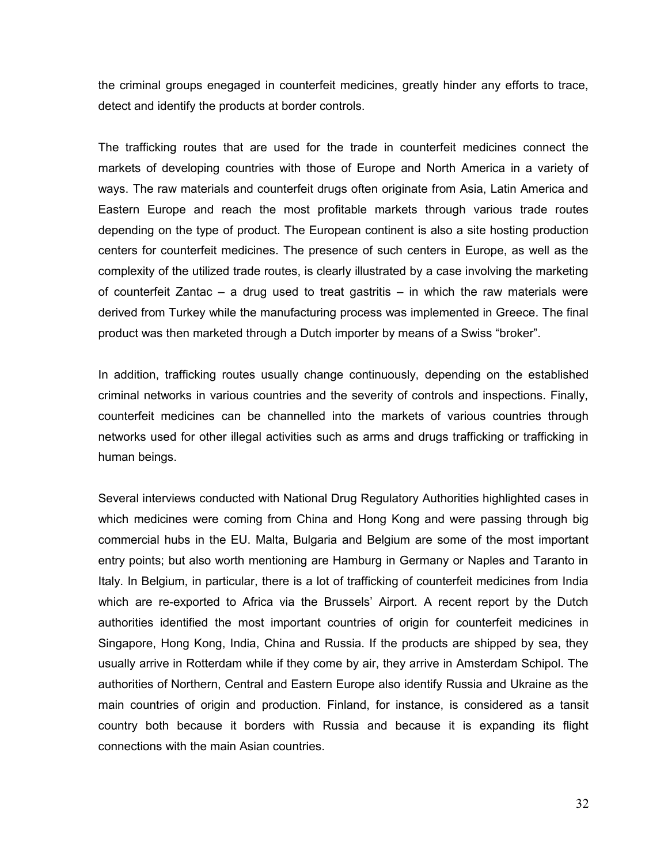the criminal groups enegaged in counterfeit medicines, greatly hinder any efforts to trace, detect and identify the products at border controls.

The trafficking routes that are used for the trade in counterfeit medicines connect the markets of developing countries with those of Europe and North America in a variety of ways. The raw materials and counterfeit drugs often originate from Asia, Latin America and Eastern Europe and reach the most profitable markets through various trade routes depending on the type of product. The European continent is also a site hosting production centers for counterfeit medicines. The presence of such centers in Europe, as well as the complexity of the utilized trade routes, is clearly illustrated by a case involving the marketing of counterfeit Zantac – a drug used to treat gastritis – in which the raw materials were derived from Turkey while the manufacturing process was implemented in Greece. The final product was then marketed through a Dutch importer by means of a Swiss "broker".

In addition, trafficking routes usually change continuously, depending on the established criminal networks in various countries and the severity of controls and inspections. Finally, counterfeit medicines can be channelled into the markets of various countries through networks used for other illegal activities such as arms and drugs trafficking or trafficking in human beings.

Several interviews conducted with National Drug Regulatory Authorities highlighted cases in which medicines were coming from China and Hong Kong and were passing through big commercial hubs in the EU. Malta, Bulgaria and Belgium are some of the most important entry points; but also worth mentioning are Hamburg in Germany or Naples and Taranto in Italy. In Belgium, in particular, there is a lot of trafficking of counterfeit medicines from India which are re-exported to Africa via the Brussels' Airport. A recent report by the Dutch authorities identified the most important countries of origin for counterfeit medicines in Singapore, Hong Kong, India, China and Russia. If the products are shipped by sea, they usually arrive in Rotterdam while if they come by air, they arrive in Amsterdam Schipol. The authorities of Northern, Central and Eastern Europe also identify Russia and Ukraine as the main countries of origin and production. Finland, for instance, is considered as a tansit country both because it borders with Russia and because it is expanding its flight connections with the main Asian countries.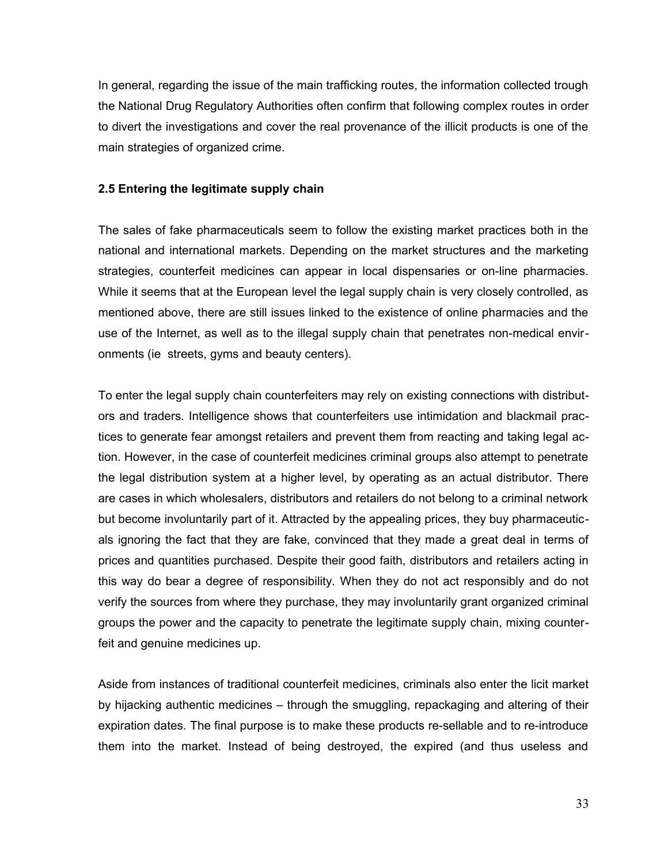In general, regarding the issue of the main trafficking routes, the information collected trough the National Drug Regulatory Authorities often confirm that following complex routes in order to divert the investigations and cover the real provenance of the illicit products is one of the main strategies of organized crime.

## **2.5 Entering the legitimate supply chain**

The sales of fake pharmaceuticals seem to follow the existing market practices both in the national and international markets. Depending on the market structures and the marketing strategies, counterfeit medicines can appear in local dispensaries or on-line pharmacies. While it seems that at the European level the legal supply chain is very closely controlled, as mentioned above, there are still issues linked to the existence of online pharmacies and the use of the Internet, as well as to the illegal supply chain that penetrates non-medical environments (ie streets, gyms and beauty centers).

To enter the legal supply chain counterfeiters may rely on existing connections with distributors and traders. Intelligence shows that counterfeiters use intimidation and blackmail practices to generate fear amongst retailers and prevent them from reacting and taking legal action. However, in the case of counterfeit medicines criminal groups also attempt to penetrate the legal distribution system at a higher level, by operating as an actual distributor. There are cases in which wholesalers, distributors and retailers do not belong to a criminal network but become involuntarily part of it. Attracted by the appealing prices, they buy pharmaceuticals ignoring the fact that they are fake, convinced that they made a great deal in terms of prices and quantities purchased. Despite their good faith, distributors and retailers acting in this way do bear a degree of responsibility. When they do not act responsibly and do not verify the sources from where they purchase, they may involuntarily grant organized criminal groups the power and the capacity to penetrate the legitimate supply chain, mixing counterfeit and genuine medicines up.

Aside from instances of traditional counterfeit medicines, criminals also enter the licit market by hijacking authentic medicines – through the smuggling, repackaging and altering of their expiration dates. The final purpose is to make these products re-sellable and to re-introduce them into the market. Instead of being destroyed, the expired (and thus useless and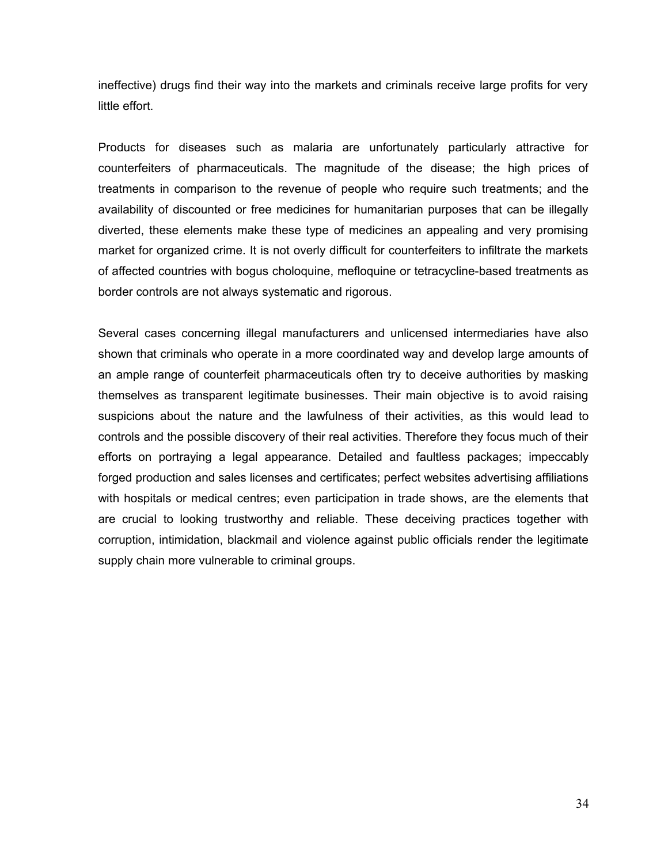ineffective) drugs find their way into the markets and criminals receive large profits for very little effort.

Products for diseases such as malaria are unfortunately particularly attractive for counterfeiters of pharmaceuticals. The magnitude of the disease; the high prices of treatments in comparison to the revenue of people who require such treatments; and the availability of discounted or free medicines for humanitarian purposes that can be illegally diverted, these elements make these type of medicines an appealing and very promising market for organized crime. It is not overly difficult for counterfeiters to infiltrate the markets of affected countries with bogus choloquine, mefloquine or tetracycline-based treatments as border controls are not always systematic and rigorous.

Several cases concerning illegal manufacturers and unlicensed intermediaries have also shown that criminals who operate in a more coordinated way and develop large amounts of an ample range of counterfeit pharmaceuticals often try to deceive authorities by masking themselves as transparent legitimate businesses. Their main objective is to avoid raising suspicions about the nature and the lawfulness of their activities, as this would lead to controls and the possible discovery of their real activities. Therefore they focus much of their efforts on portraying a legal appearance. Detailed and faultless packages; impeccably forged production and sales licenses and certificates; perfect websites advertising affiliations with hospitals or medical centres; even participation in trade shows, are the elements that are crucial to looking trustworthy and reliable. These deceiving practices together with corruption, intimidation, blackmail and violence against public officials render the legitimate supply chain more vulnerable to criminal groups.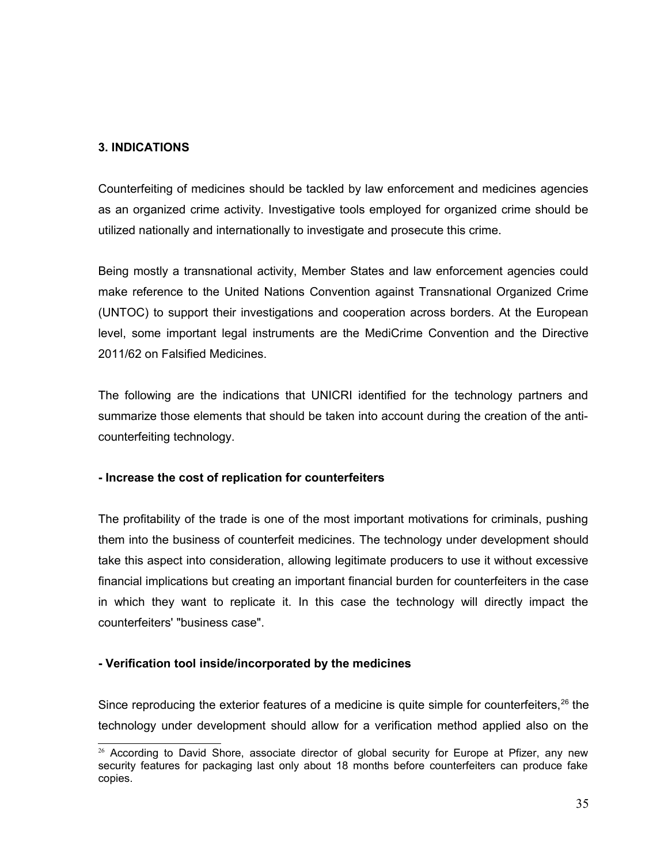## **3. INDICATIONS**

Counterfeiting of medicines should be tackled by law enforcement and medicines agencies as an organized crime activity. Investigative tools employed for organized crime should be utilized nationally and internationally to investigate and prosecute this crime.

Being mostly a transnational activity, Member States and law enforcement agencies could make reference to the United Nations Convention against Transnational Organized Crime (UNTOC) to support their investigations and cooperation across borders. At the European level, some important legal instruments are the MediCrime Convention and the Directive 2011/62 on Falsified Medicines.

The following are the indications that UNICRI identified for the technology partners and summarize those elements that should be taken into account during the creation of the anticounterfeiting technology.

## **- Increase the cost of replication for counterfeiters**

The profitability of the trade is one of the most important motivations for criminals, pushing them into the business of counterfeit medicines. The technology under development should take this aspect into consideration, allowing legitimate producers to use it without excessive financial implications but creating an important financial burden for counterfeiters in the case in which they want to replicate it. In this case the technology will directly impact the counterfeiters' "business case".

## **- Verification tool inside/incorporated by the medicines**

Since reproducing the exterior features of a medicine is quite simple for counterfeiters,  $26$  the technology under development should allow for a verification method applied also on the

<span id="page-34-0"></span> $26$  According to David Shore, associate director of global security for Europe at Pfizer, any new security features for packaging last only about 18 months before counterfeiters can produce fake copies.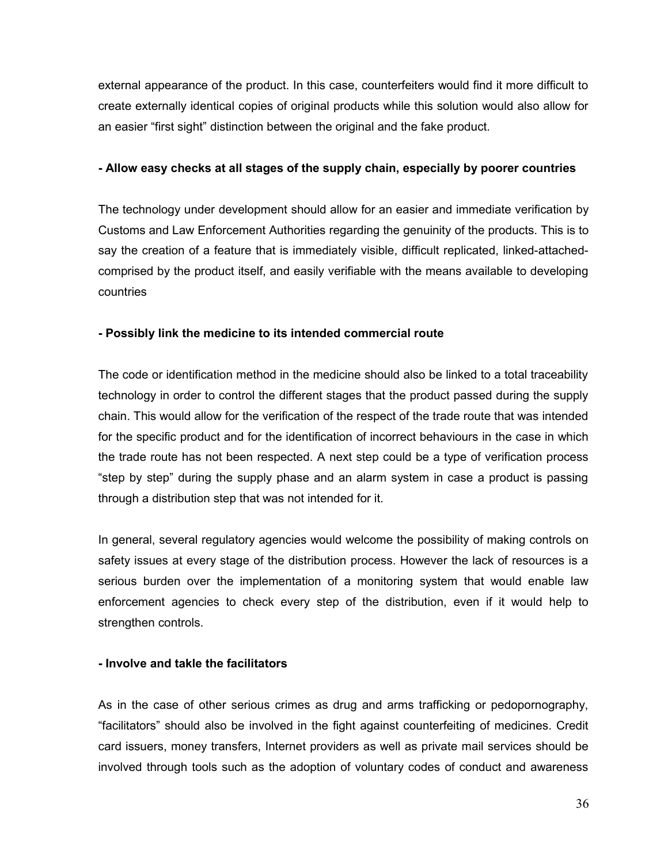external appearance of the product. In this case, counterfeiters would find it more difficult to create externally identical copies of original products while this solution would also allow for an easier "first sight" distinction between the original and the fake product.

#### **- Allow easy checks at all stages of the supply chain, especially by poorer countries**

The technology under development should allow for an easier and immediate verification by Customs and Law Enforcement Authorities regarding the genuinity of the products. This is to say the creation of a feature that is immediately visible, difficult replicated, linked-attachedcomprised by the product itself, and easily verifiable with the means available to developing countries

## **- Possibly link the medicine to its intended commercial route**

The code or identification method in the medicine should also be linked to a total traceability technology in order to control the different stages that the product passed during the supply chain. This would allow for the verification of the respect of the trade route that was intended for the specific product and for the identification of incorrect behaviours in the case in which the trade route has not been respected. A next step could be a type of verification process "step by step" during the supply phase and an alarm system in case a product is passing through a distribution step that was not intended for it.

In general, several regulatory agencies would welcome the possibility of making controls on safety issues at every stage of the distribution process. However the lack of resources is a serious burden over the implementation of a monitoring system that would enable law enforcement agencies to check every step of the distribution, even if it would help to strengthen controls.

## **- Involve and takle the facilitators**

As in the case of other serious crimes as drug and arms trafficking or pedopornography, "facilitators" should also be involved in the fight against counterfeiting of medicines. Credit card issuers, money transfers, Internet providers as well as private mail services should be involved through tools such as the adoption of voluntary codes of conduct and awareness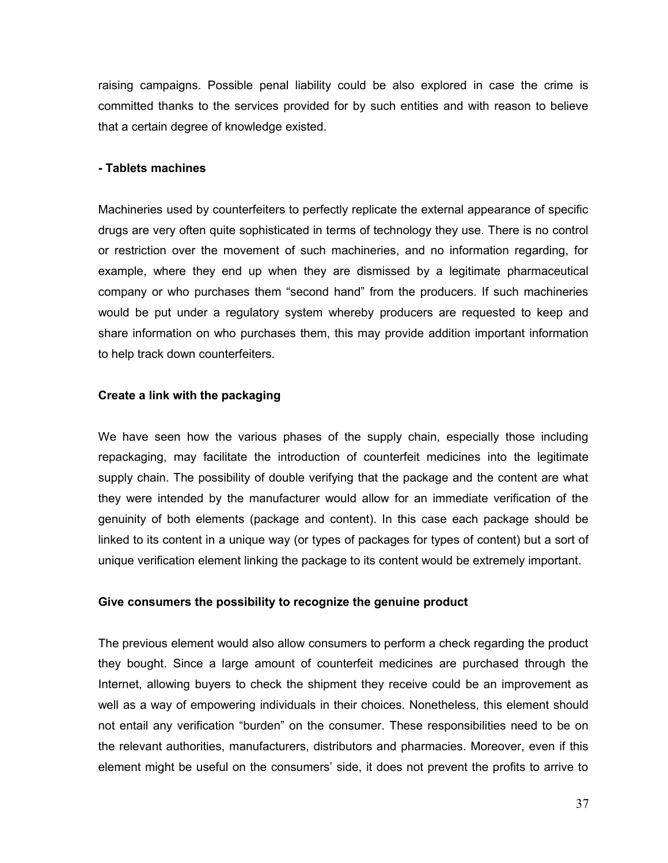raising campaigns. Possible penal liability could be also explored in case the crime is committed thanks to the services provided for by such entities and with reason to believe that a certain degree of knowledge existed.

#### **- Tablets machines**

Machineries used by counterfeiters to perfectly replicate the external appearance of specific drugs are very often quite sophisticated in terms of technology they use. There is no control or restriction over the movement of such machineries, and no information regarding, for example, where they end up when they are dismissed by a legitimate pharmaceutical company or who purchases them "second hand" from the producers. If such machineries would be put under a regulatory system whereby producers are requested to keep and share information on who purchases them, this may provide addition important information to help track down counterfeiters.

#### **Create a link with the packaging**

We have seen how the various phases of the supply chain, especially those including repackaging, may facilitate the introduction of counterfeit medicines into the legitimate supply chain. The possibility of double verifying that the package and the content are what they were intended by the manufacturer would allow for an immediate verification of the genuinity of both elements (package and content). In this case each package should be linked to its content in a unique way (or types of packages for types of content) but a sort of unique verification element linking the package to its content would be extremely important.

#### **Give consumers the possibility to recognize the genuine product**

The previous element would also allow consumers to perform a check regarding the product they bought. Since a large amount of counterfeit medicines are purchased through the Internet, allowing buyers to check the shipment they receive could be an improvement as well as a way of empowering individuals in their choices. Nonetheless, this element should not entail any verification "burden" on the consumer. These responsibilities need to be on the relevant authorities, manufacturers, distributors and pharmacies. Moreover, even if this element might be useful on the consumers' side, it does not prevent the profits to arrive to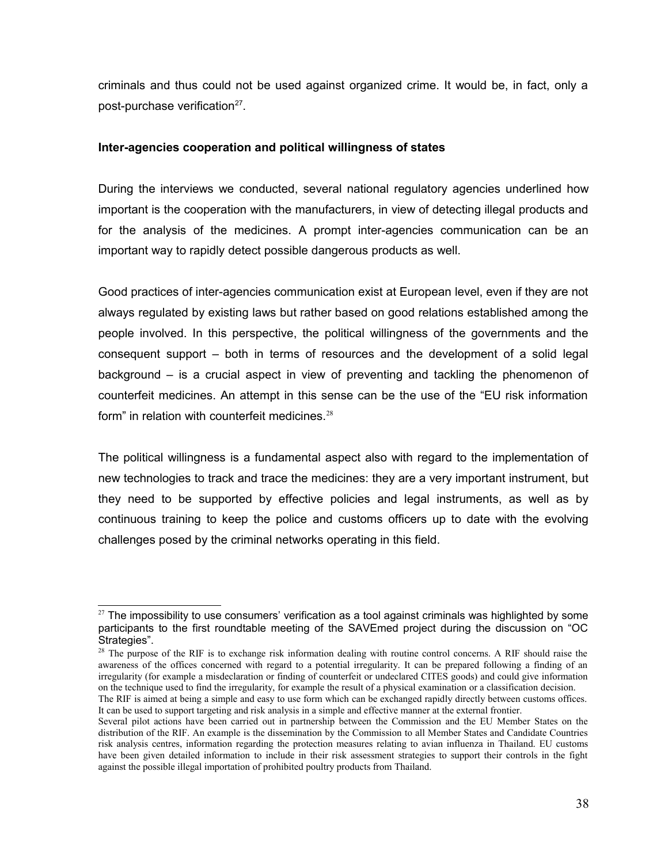criminals and thus could not be used against organized crime. It would be, in fact, only a post-purchase verification<sup>[27](#page-37-0)</sup>.

## **Inter-agencies cooperation and political willingness of states**

During the interviews we conducted, several national regulatory agencies underlined how important is the cooperation with the manufacturers, in view of detecting illegal products and for the analysis of the medicines. A prompt inter-agencies communication can be an important way to rapidly detect possible dangerous products as well.

Good practices of inter-agencies communication exist at European level, even if they are not always regulated by existing laws but rather based on good relations established among the people involved. In this perspective, the political willingness of the governments and the consequent support – both in terms of resources and the development of a solid legal background – is a crucial aspect in view of preventing and tackling the phenomenon of counterfeit medicines. An attempt in this sense can be the use of the "EU risk information form" in relation with counterfeit medicines. $28$ 

The political willingness is a fundamental aspect also with regard to the implementation of new technologies to track and trace the medicines: they are a very important instrument, but they need to be supported by effective policies and legal instruments, as well as by continuous training to keep the police and customs officers up to date with the evolving challenges posed by the criminal networks operating in this field.

<span id="page-37-0"></span><sup>&</sup>lt;sup>27</sup> The impossibility to use consumers' verification as a tool against criminals was highlighted by some participants to the first roundtable meeting of the SAVEmed project during the discussion on "OC Strategies".

<span id="page-37-1"></span><sup>&</sup>lt;sup>28</sup> The purpose of the RIF is to exchange risk information dealing with routine control concerns. A RIF should raise the awareness of the offices concerned with regard to a potential irregularity. It can be prepared following a finding of an irregularity (for example a misdeclaration or finding of counterfeit or undeclared CITES goods) and could give information on the technique used to find the irregularity, for example the result of a physical examination or a classification decision.

The RIF is aimed at being a simple and easy to use form which can be exchanged rapidly directly between customs offices. It can be used to support targeting and risk analysis in a simple and effective manner at the external frontier.

Several pilot actions have been carried out in partnership between the Commission and the EU Member States on the distribution of the RIF. An example is the dissemination by the Commission to all Member States and Candidate Countries risk analysis centres, information regarding the protection measures relating to avian influenza in Thailand. EU customs have been given detailed information to include in their risk assessment strategies to support their controls in the fight against the possible illegal importation of prohibited poultry products from Thailand.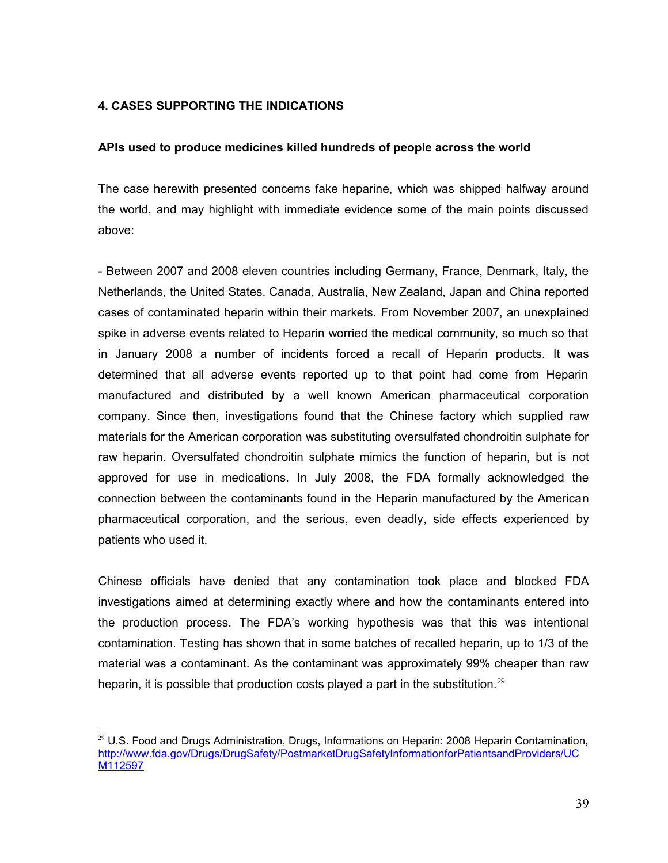## **4. CASES SUPPORTING THE INDICATIONS**

#### **APIs used to produce medicines killed hundreds of people across the world**

The case herewith presented concerns fake heparine, which was shipped halfway around the world, and may highlight with immediate evidence some of the main points discussed above:

- Between 2007 and 2008 eleven countries including Germany, France, Denmark, Italy, the Netherlands, the United States, Canada, Australia, New Zealand, Japan and China reported cases of contaminated heparin within their markets. From November 2007, an unexplained spike in adverse events related to Heparin worried the medical community, so much so that in January 2008 a number of incidents forced a recall of Heparin products. It was determined that all adverse events reported up to that point had come from Heparin manufactured and distributed by a well known American pharmaceutical corporation company. Since then, investigations found that the Chinese factory which supplied raw materials for the American corporation was substituting oversulfated chondroitin sulphate for raw heparin. Oversulfated chondroitin sulphate mimics the function of heparin, but is not approved for use in medications. In July 2008, the FDA formally acknowledged the connection between the contaminants found in the Heparin manufactured by the American pharmaceutical corporation, and the serious, even deadly, side effects experienced by patients who used it.

Chinese officials have denied that any contamination took place and blocked FDA investigations aimed at determining exactly where and how the contaminants entered into the production process. The FDA's working hypothesis was that this was intentional contamination. Testing has shown that in some batches of recalled heparin, up to 1/3 of the material was a contaminant. As the contaminant was approximately 99% cheaper than raw heparin, it is possible that production costs played a part in the substitution.<sup>[29](#page-38-0)</sup>

<span id="page-38-0"></span><sup>&</sup>lt;sup>29</sup> U.S. Food and Drugs Administration, Drugs, Informations on Heparin: 2008 Heparin Contamination, [http://www.fda.gov/Drugs/DrugSafety/PostmarketDrugSafetyInformationforPatientsandProviders/UC](http://www.fda.gov/Drugs/DrugSafety/PostmarketDrugSafetyInformationforPatientsandProviders/UCM112597) [M112597](http://www.fda.gov/Drugs/DrugSafety/PostmarketDrugSafetyInformationforPatientsandProviders/UCM112597)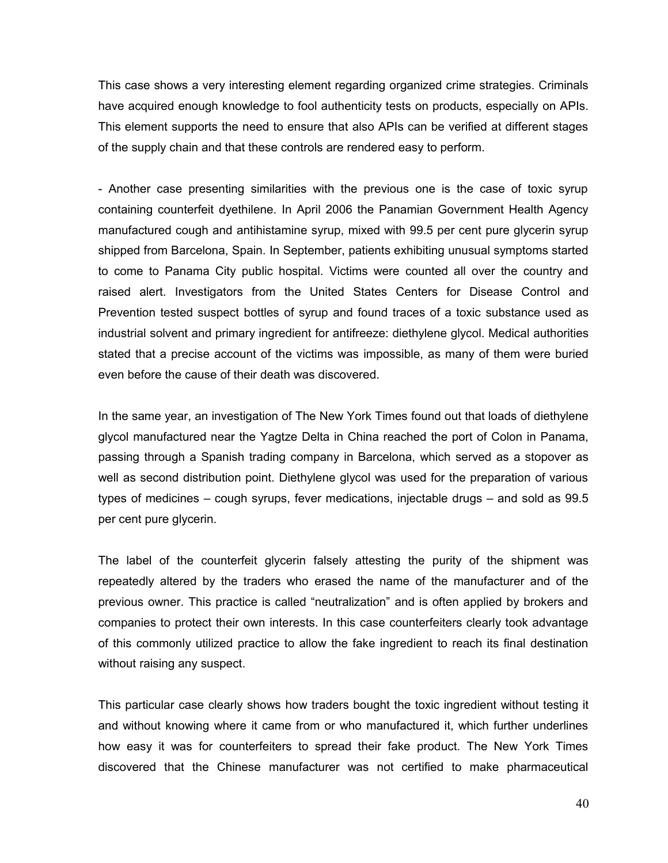This case shows a very interesting element regarding organized crime strategies. Criminals have acquired enough knowledge to fool authenticity tests on products, especially on APIs. This element supports the need to ensure that also APIs can be verified at different stages of the supply chain and that these controls are rendered easy to perform.

- Another case presenting similarities with the previous one is the case of toxic syrup containing counterfeit dyethilene. In April 2006 the Panamian Government Health Agency manufactured cough and antihistamine syrup, mixed with 99.5 per cent pure glycerin syrup shipped from Barcelona, Spain. In September, patients exhibiting unusual symptoms started to come to Panama City public hospital. Victims were counted all over the country and raised alert. Investigators from the United States Centers for Disease Control and Prevention tested suspect bottles of syrup and found traces of a toxic substance used as industrial solvent and primary ingredient for antifreeze: diethylene glycol. Medical authorities stated that a precise account of the victims was impossible, as many of them were buried even before the cause of their death was discovered.

In the same year, an investigation of The New York Times found out that loads of diethylene glycol manufactured near the Yagtze Delta in China reached the port of Colon in Panama, passing through a Spanish trading company in Barcelona, which served as a stopover as well as second distribution point. Diethylene glycol was used for the preparation of various types of medicines – cough syrups, fever medications, injectable drugs – and sold as 99.5 per cent pure glycerin.

The label of the counterfeit glycerin falsely attesting the purity of the shipment was repeatedly altered by the traders who erased the name of the manufacturer and of the previous owner. This practice is called "neutralization" and is often applied by brokers and companies to protect their own interests. In this case counterfeiters clearly took advantage of this commonly utilized practice to allow the fake ingredient to reach its final destination without raising any suspect.

This particular case clearly shows how traders bought the toxic ingredient without testing it and without knowing where it came from or who manufactured it, which further underlines how easy it was for counterfeiters to spread their fake product. The New York Times discovered that the Chinese manufacturer was not certified to make pharmaceutical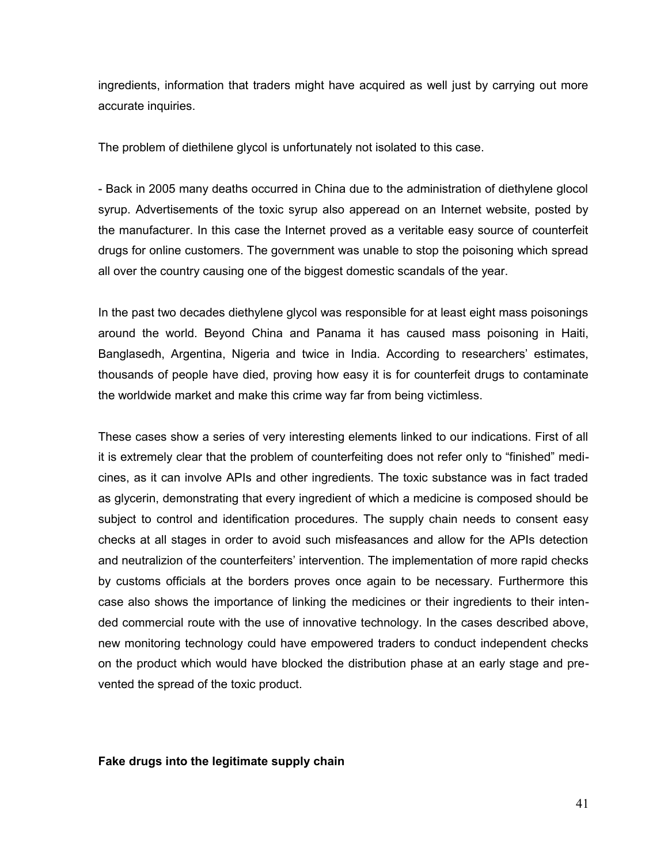ingredients, information that traders might have acquired as well just by carrying out more accurate inquiries.

The problem of diethilene glycol is unfortunately not isolated to this case.

- Back in 2005 many deaths occurred in China due to the administration of diethylene glocol syrup. Advertisements of the toxic syrup also apperead on an Internet website, posted by the manufacturer. In this case the Internet proved as a veritable easy source of counterfeit drugs for online customers. The government was unable to stop the poisoning which spread all over the country causing one of the biggest domestic scandals of the year.

In the past two decades diethylene glycol was responsible for at least eight mass poisonings around the world. Beyond China and Panama it has caused mass poisoning in Haiti, Banglasedh, Argentina, Nigeria and twice in India. According to researchers' estimates, thousands of people have died, proving how easy it is for counterfeit drugs to contaminate the worldwide market and make this crime way far from being victimless.

These cases show a series of very interesting elements linked to our indications. First of all it is extremely clear that the problem of counterfeiting does not refer only to "finished" medicines, as it can involve APIs and other ingredients. The toxic substance was in fact traded as glycerin, demonstrating that every ingredient of which a medicine is composed should be subject to control and identification procedures. The supply chain needs to consent easy checks at all stages in order to avoid such misfeasances and allow for the APIs detection and neutralizion of the counterfeiters' intervention. The implementation of more rapid checks by customs officials at the borders proves once again to be necessary. Furthermore this case also shows the importance of linking the medicines or their ingredients to their intended commercial route with the use of innovative technology. In the cases described above, new monitoring technology could have empowered traders to conduct independent checks on the product which would have blocked the distribution phase at an early stage and prevented the spread of the toxic product.

#### **Fake drugs into the legitimate supply chain**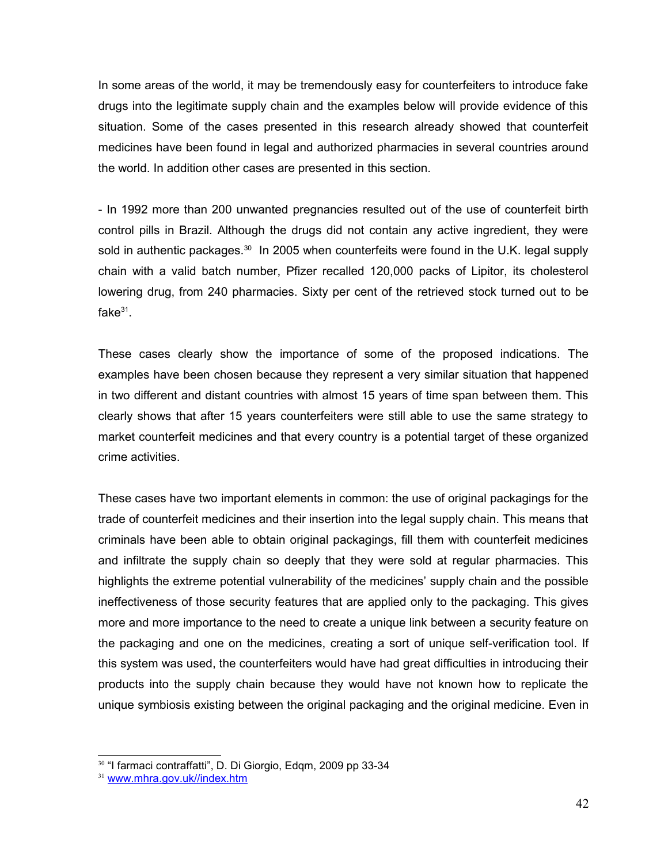In some areas of the world, it may be tremendously easy for counterfeiters to introduce fake drugs into the legitimate supply chain and the examples below will provide evidence of this situation. Some of the cases presented in this research already showed that counterfeit medicines have been found in legal and authorized pharmacies in several countries around the world. In addition other cases are presented in this section.

- In 1992 more than 200 unwanted pregnancies resulted out of the use of counterfeit birth control pills in Brazil. Although the drugs did not contain any active ingredient, they were sold in authentic packages. $30\,$  $30\,$  In 2005 when counterfeits were found in the U.K. legal supply chain with a valid batch number, Pfizer recalled 120,000 packs of Lipitor, its cholesterol lowering drug, from 240 pharmacies. Sixty per cent of the retrieved stock turned out to be fake $^{31}$  $^{31}$  $^{31}$ .

These cases clearly show the importance of some of the proposed indications. The examples have been chosen because they represent a very similar situation that happened in two different and distant countries with almost 15 years of time span between them. This clearly shows that after 15 years counterfeiters were still able to use the same strategy to market counterfeit medicines and that every country is a potential target of these organized crime activities.

These cases have two important elements in common: the use of original packagings for the trade of counterfeit medicines and their insertion into the legal supply chain. This means that criminals have been able to obtain original packagings, fill them with counterfeit medicines and infiltrate the supply chain so deeply that they were sold at regular pharmacies. This highlights the extreme potential vulnerability of the medicines' supply chain and the possible ineffectiveness of those security features that are applied only to the packaging. This gives more and more importance to the need to create a unique link between a security feature on the packaging and one on the medicines, creating a sort of unique self-verification tool. If this system was used, the counterfeiters would have had great difficulties in introducing their products into the supply chain because they would have not known how to replicate the unique symbiosis existing between the original packaging and the original medicine. Even in

<span id="page-41-0"></span><sup>30</sup> "I farmaci contraffatti", D. Di Giorgio, Edqm, 2009 pp 33-34

<span id="page-41-1"></span><sup>31</sup> [www.mhra.gov.uk//index.htm](http://www.mhra.gov.uk//index.htm)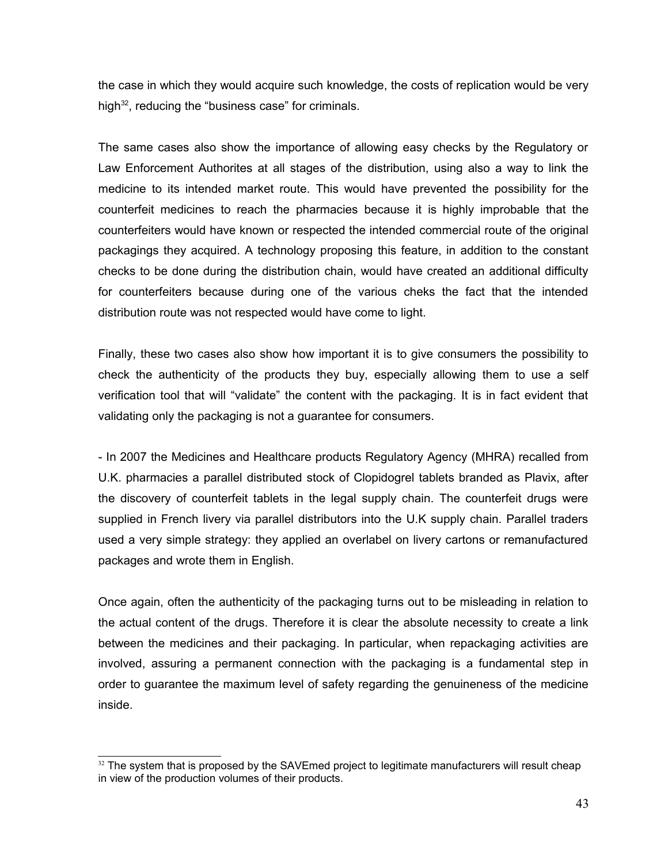the case in which they would acquire such knowledge, the costs of replication would be very high $32$ , reducing the "business case" for criminals.

The same cases also show the importance of allowing easy checks by the Regulatory or Law Enforcement Authorites at all stages of the distribution, using also a way to link the medicine to its intended market route. This would have prevented the possibility for the counterfeit medicines to reach the pharmacies because it is highly improbable that the counterfeiters would have known or respected the intended commercial route of the original packagings they acquired. A technology proposing this feature, in addition to the constant checks to be done during the distribution chain, would have created an additional difficulty for counterfeiters because during one of the various cheks the fact that the intended distribution route was not respected would have come to light.

Finally, these two cases also show how important it is to give consumers the possibility to check the authenticity of the products they buy, especially allowing them to use a self verification tool that will "validate" the content with the packaging. It is in fact evident that validating only the packaging is not a guarantee for consumers.

- In 2007 the Medicines and Healthcare products Regulatory Agency (MHRA) recalled from U.K. pharmacies a parallel distributed stock of Clopidogrel tablets branded as Plavix, after the discovery of counterfeit tablets in the legal supply chain. The counterfeit drugs were supplied in French livery via parallel distributors into the U.K supply chain. Parallel traders used a very simple strategy: they applied an overlabel on livery cartons or remanufactured packages and wrote them in English.

Once again, often the authenticity of the packaging turns out to be misleading in relation to the actual content of the drugs. Therefore it is clear the absolute necessity to create a link between the medicines and their packaging. In particular, when repackaging activities are involved, assuring a permanent connection with the packaging is a fundamental step in order to guarantee the maximum level of safety regarding the genuineness of the medicine inside.

<span id="page-42-0"></span> $32$  The system that is proposed by the SAVEmed project to legitimate manufacturers will result cheap in view of the production volumes of their products.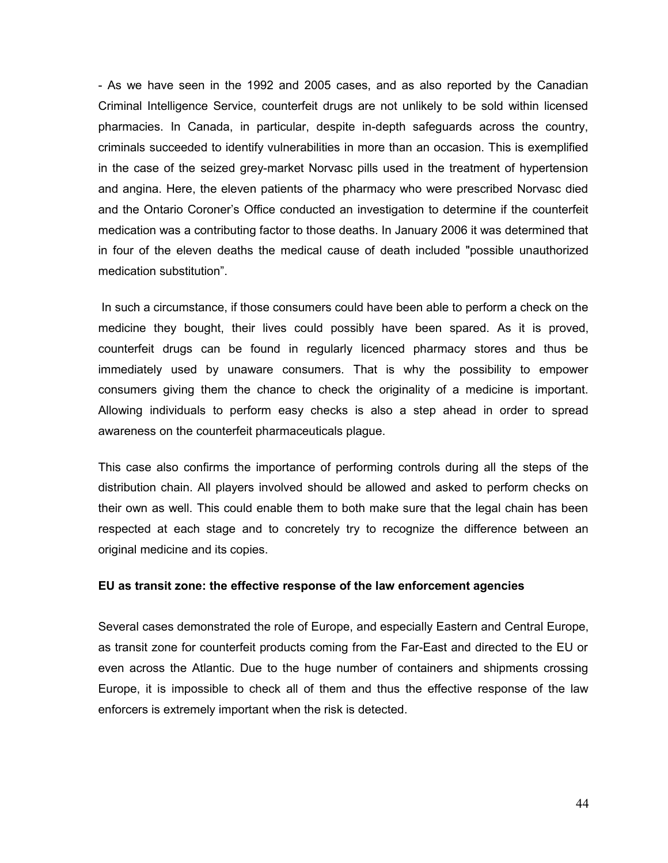- As we have seen in the 1992 and 2005 cases, and as also reported by the Canadian Criminal Intelligence Service, counterfeit drugs are not unlikely to be sold within licensed pharmacies. In Canada, in particular, despite in-depth safeguards across the country, criminals succeeded to identify vulnerabilities in more than an occasion. This is exemplified in the case of the seized grey-market Norvasc pills used in the treatment of hypertension and angina. Here, the eleven patients of the pharmacy who were prescribed Norvasc died and the Ontario Coroner's Office conducted an investigation to determine if the counterfeit medication was a contributing factor to those deaths. In January 2006 it was determined that in four of the eleven deaths the medical cause of death included "possible unauthorized medication substitution".

 In such a circumstance, if those consumers could have been able to perform a check on the medicine they bought, their lives could possibly have been spared. As it is proved, counterfeit drugs can be found in regularly licenced pharmacy stores and thus be immediately used by unaware consumers. That is why the possibility to empower consumers giving them the chance to check the originality of a medicine is important. Allowing individuals to perform easy checks is also a step ahead in order to spread awareness on the counterfeit pharmaceuticals plague.

This case also confirms the importance of performing controls during all the steps of the distribution chain. All players involved should be allowed and asked to perform checks on their own as well. This could enable them to both make sure that the legal chain has been respected at each stage and to concretely try to recognize the difference between an original medicine and its copies.

#### **EU as transit zone: the effective response of the law enforcement agencies**

Several cases demonstrated the role of Europe, and especially Eastern and Central Europe, as transit zone for counterfeit products coming from the Far-East and directed to the EU or even across the Atlantic. Due to the huge number of containers and shipments crossing Europe, it is impossible to check all of them and thus the effective response of the law enforcers is extremely important when the risk is detected.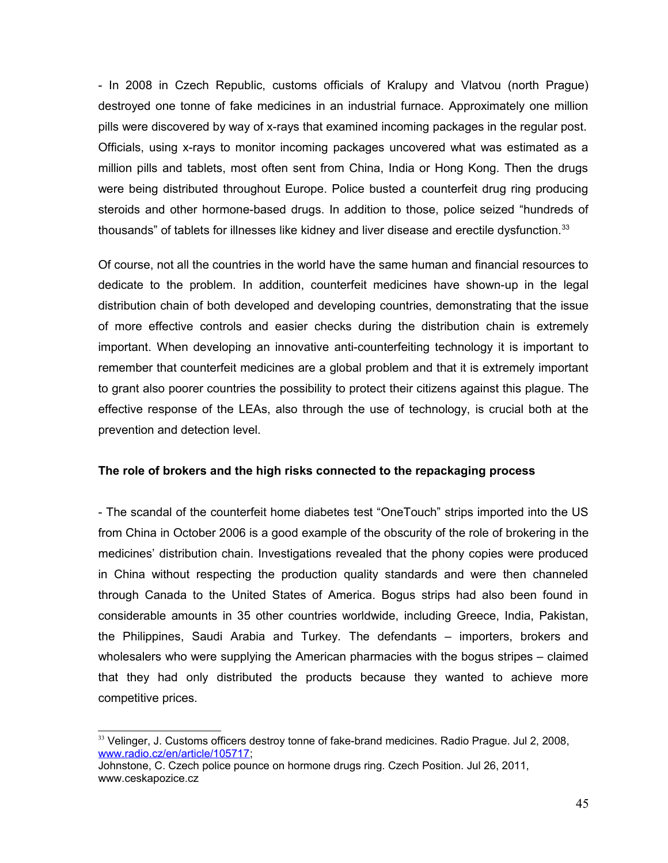- In 2008 in Czech Republic, customs officials of Kralupy and Vlatvou (north Prague) destroyed one tonne of fake medicines in an industrial furnace. Approximately one million pills were discovered by way of x-rays that examined incoming packages in the regular post. Officials, using x-rays to monitor incoming packages uncovered what was estimated as a million pills and tablets, most often sent from China, India or Hong Kong. Then the drugs were being distributed throughout Europe. Police busted a counterfeit drug ring producing steroids and other hormone-based drugs. In addition to those, police seized "hundreds of thousands" of tablets for illnesses like kidney and liver disease and erectile dysfunction. $33$ 

Of course, not all the countries in the world have the same human and financial resources to dedicate to the problem. In addition, counterfeit medicines have shown-up in the legal distribution chain of both developed and developing countries, demonstrating that the issue of more effective controls and easier checks during the distribution chain is extremely important. When developing an innovative anti-counterfeiting technology it is important to remember that counterfeit medicines are a global problem and that it is extremely important to grant also poorer countries the possibility to protect their citizens against this plague. The effective response of the LEAs, also through the use of technology, is crucial both at the prevention and detection level.

## **The role of brokers and the high risks connected to the repackaging process**

- The scandal of the counterfeit home diabetes test "OneTouch" strips imported into the US from China in October 2006 is a good example of the obscurity of the role of brokering in the medicines' distribution chain. Investigations revealed that the phony copies were produced in China without respecting the production quality standards and were then channeled through Canada to the United States of America. Bogus strips had also been found in considerable amounts in 35 other countries worldwide, including Greece, India, Pakistan, the Philippines, Saudi Arabia and Turkey. The defendants – importers, brokers and wholesalers who were supplying the American pharmacies with the bogus stripes – claimed that they had only distributed the products because they wanted to achieve more competitive prices.

<span id="page-44-0"></span><sup>&</sup>lt;sup>33</sup> Velinger, J. Customs officers destroy tonne of fake-brand medicines. Radio Prague. Jul 2, 2008, [www.radio.cz/en/article/105717;](http://www.radio.cz/en/article/105717)

Johnstone, C. Czech police pounce on hormone drugs ring. Czech Position. Jul 26, 2011, www.ceskapozice.cz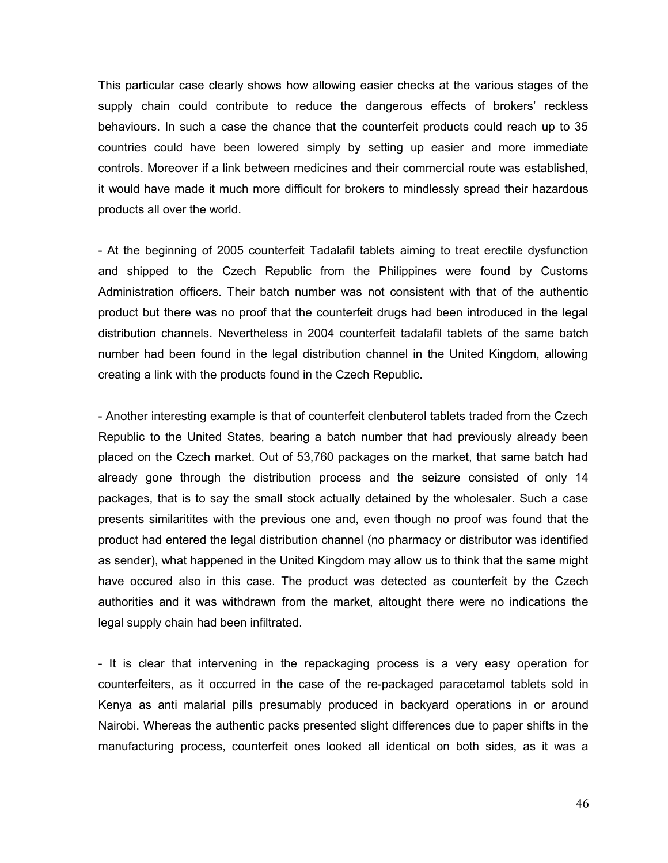This particular case clearly shows how allowing easier checks at the various stages of the supply chain could contribute to reduce the dangerous effects of brokers' reckless behaviours. In such a case the chance that the counterfeit products could reach up to 35 countries could have been lowered simply by setting up easier and more immediate controls. Moreover if a link between medicines and their commercial route was established, it would have made it much more difficult for brokers to mindlessly spread their hazardous products all over the world.

- At the beginning of 2005 counterfeit Tadalafil tablets aiming to treat erectile dysfunction and shipped to the Czech Republic from the Philippines were found by Customs Administration officers. Their batch number was not consistent with that of the authentic product but there was no proof that the counterfeit drugs had been introduced in the legal distribution channels. Nevertheless in 2004 counterfeit tadalafil tablets of the same batch number had been found in the legal distribution channel in the United Kingdom, allowing creating a link with the products found in the Czech Republic.

- Another interesting example is that of counterfeit clenbuterol tablets traded from the Czech Republic to the United States, bearing a batch number that had previously already been placed on the Czech market. Out of 53,760 packages on the market, that same batch had already gone through the distribution process and the seizure consisted of only 14 packages, that is to say the small stock actually detained by the wholesaler. Such a case presents similaritites with the previous one and, even though no proof was found that the product had entered the legal distribution channel (no pharmacy or distributor was identified as sender), what happened in the United Kingdom may allow us to think that the same might have occured also in this case. The product was detected as counterfeit by the Czech authorities and it was withdrawn from the market, altought there were no indications the legal supply chain had been infiltrated.

- It is clear that intervening in the repackaging process is a very easy operation for counterfeiters, as it occurred in the case of the re-packaged paracetamol tablets sold in Kenya as anti malarial pills presumably produced in backyard operations in or around Nairobi. Whereas the authentic packs presented slight differences due to paper shifts in the manufacturing process, counterfeit ones looked all identical on both sides, as it was a